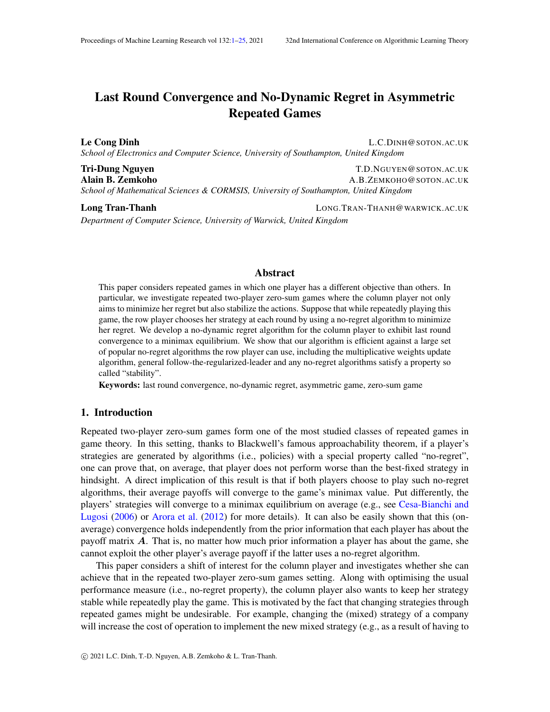# <span id="page-0-0"></span>Last Round Convergence and No-Dynamic Regret in Asymmetric Repeated Games

Le Cong Dinh L.C.DINH@SOTON.AC.UK *School of Electronics and Computer Science, University of Southampton, United Kingdom*

Tri-Dung Nguyen The Tries of the Test of Tries of the T.D.NGUYEN@SOTON.AC.UK Alain B. Zemkoho A.B.ZEMKOHO@SOTON.AC.UK *School of Mathematical Sciences & CORMSIS, University of Southampton, United Kingdom*

Long Tran-Thanh **LONG.TRAN-THANH@WARWICK.AC.UK** *Department of Computer Science, University of Warwick, United Kingdom*

## Abstract

This paper considers repeated games in which one player has a different objective than others. In particular, we investigate repeated two-player zero-sum games where the column player not only aims to minimize her regret but also stabilize the actions. Suppose that while repeatedly playing this game, the row player chooses her strategy at each round by using a no-regret algorithm to minimize her regret. We develop a no-dynamic regret algorithm for the column player to exhibit last round convergence to a minimax equilibrium. We show that our algorithm is efficient against a large set of popular no-regret algorithms the row player can use, including the multiplicative weights update algorithm, general follow-the-regularized-leader and any no-regret algorithms satisfy a property so called "stability".

Keywords: last round convergence, no-dynamic regret, asymmetric game, zero-sum game

## 1. Introduction

Repeated two-player zero-sum games form one of the most studied classes of repeated games in game theory. In this setting, thanks to Blackwell's famous approachability theorem, if a player's strategies are generated by algorithms (i.e., policies) with a special property called "no-regret", one can prove that, on average, that player does not perform worse than the best-fixed strategy in hindsight. A direct implication of this result is that if both players choose to play such no-regret algorithms, their average payoffs will converge to the game's minimax value. Put differently, the players' strategies will converge to a minimax equilibrium on average (e.g., see [Cesa-Bianchi and](#page-13-0) [Lugosi](#page-13-0) [\(2006\)](#page-13-0) or [Arora et al.](#page-13-1) [\(2012\)](#page-13-1) for more details). It can also be easily shown that this (onaverage) convergence holds independently from the prior information that each player has about the payoff matrix  $\vec{A}$ . That is, no matter how much prior information a player has about the game, she cannot exploit the other player's average payoff if the latter uses a no-regret algorithm.

This paper considers a shift of interest for the column player and investigates whether she can achieve that in the repeated two-player zero-sum games setting. Along with optimising the usual performance measure (i.e., no-regret property), the column player also wants to keep her strategy stable while repeatedly play the game. This is motivated by the fact that changing strategies through repeated games might be undesirable. For example, changing the (mixed) strategy of a company will increase the cost of operation to implement the new mixed strategy (e.g., as a result of having to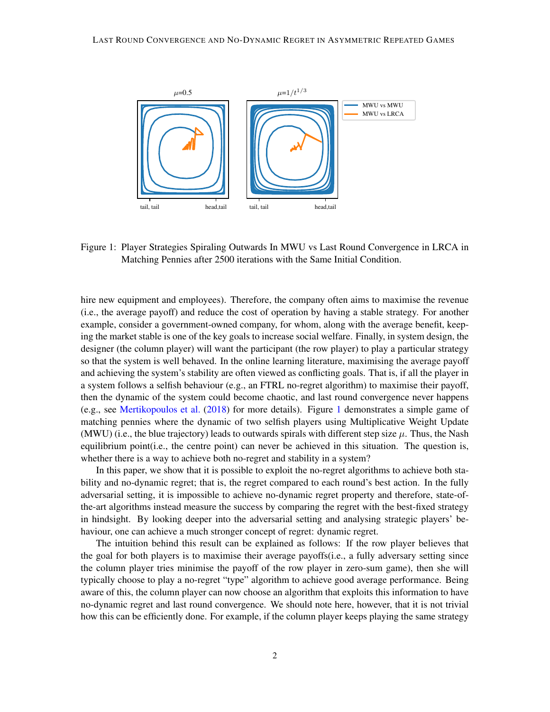

<span id="page-1-0"></span>Figure 1: Player Strategies Spiraling Outwards In MWU vs Last Round Convergence in LRCA in Matching Pennies after 2500 iterations with the Same Initial Condition.

hire new equipment and employees). Therefore, the company often aims to maximise the revenue (i.e., the average payoff) and reduce the cost of operation by having a stable strategy. For another example, consider a government-owned company, for whom, along with the average benefit, keeping the market stable is one of the key goals to increase social welfare. Finally, in system design, the designer (the column player) will want the participant (the row player) to play a particular strategy so that the system is well behaved. In the online learning literature, maximising the average payoff and achieving the system's stability are often viewed as conflicting goals. That is, if all the player in a system follows a selfish behaviour (e.g., an FTRL no-regret algorithm) to maximise their payoff, then the dynamic of the system could become chaotic, and last round convergence never happens (e.g., see [Mertikopoulos et al.](#page-14-0) [\(2018\)](#page-14-0) for more details). Figure [1](#page-1-0) demonstrates a simple game of matching pennies where the dynamic of two selfish players using Multiplicative Weight Update (MWU) (i.e., the blue trajectory) leads to outwards spirals with different step size  $\mu$ . Thus, the Nash equilibrium point(i.e., the centre point) can never be achieved in this situation. The question is, whether there is a way to achieve both no-regret and stability in a system?

In this paper, we show that it is possible to exploit the no-regret algorithms to achieve both stability and no-dynamic regret; that is, the regret compared to each round's best action. In the fully adversarial setting, it is impossible to achieve no-dynamic regret property and therefore, state-ofthe-art algorithms instead measure the success by comparing the regret with the best-fixed strategy in hindsight. By looking deeper into the adversarial setting and analysing strategic players' behaviour, one can achieve a much stronger concept of regret: dynamic regret.

The intuition behind this result can be explained as follows: If the row player believes that the goal for both players is to maximise their average payoffs(i.e., a fully adversary setting since the column player tries minimise the payoff of the row player in zero-sum game), then she will typically choose to play a no-regret "type" algorithm to achieve good average performance. Being aware of this, the column player can now choose an algorithm that exploits this information to have no-dynamic regret and last round convergence. We should note here, however, that it is not trivial how this can be efficiently done. For example, if the column player keeps playing the same strategy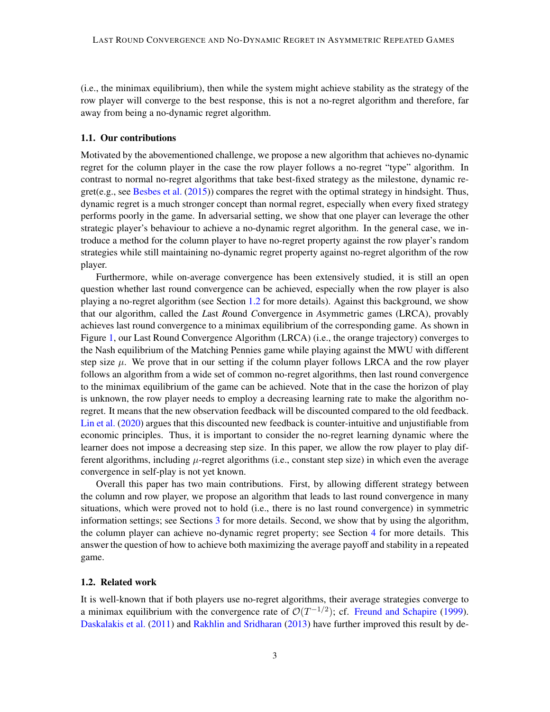(i.e., the minimax equilibrium), then while the system might achieve stability as the strategy of the row player will converge to the best response, this is not a no-regret algorithm and therefore, far away from being a no-dynamic regret algorithm.

## 1.1. Our contributions

Motivated by the abovementioned challenge, we propose a new algorithm that achieves no-dynamic regret for the column player in the case the row player follows a no-regret "type" algorithm. In contrast to normal no-regret algorithms that take best-fixed strategy as the milestone, dynamic regret(e.g., see [Besbes et al.](#page-13-2) [\(2015\)](#page-13-2)) compares the regret with the optimal strategy in hindsight. Thus, dynamic regret is a much stronger concept than normal regret, especially when every fixed strategy performs poorly in the game. In adversarial setting, we show that one player can leverage the other strategic player's behaviour to achieve a no-dynamic regret algorithm. In the general case, we introduce a method for the column player to have no-regret property against the row player's random strategies while still maintaining no-dynamic regret property against no-regret algorithm of the row player.

Furthermore, while on-average convergence has been extensively studied, it is still an open question whether last round convergence can be achieved, especially when the row player is also playing a no-regret algorithm (see Section [1.2](#page-2-0) for more details). Against this background, we show that our algorithm, called the *L*ast *R*ound *C*onvergence in *A*symmetric games (LRCA), provably achieves last round convergence to a minimax equilibrium of the corresponding game. As shown in Figure [1,](#page-1-0) our Last Round Convergence Algorithm (LRCA) (i.e., the orange trajectory) converges to the Nash equilibrium of the Matching Pennies game while playing against the MWU with different step size  $\mu$ . We prove that in our setting if the column player follows LRCA and the row player follows an algorithm from a wide set of common no-regret algorithms, then last round convergence to the minimax equilibrium of the game can be achieved. Note that in the case the horizon of play is unknown, the row player needs to employ a decreasing learning rate to make the algorithm noregret. It means that the new observation feedback will be discounted compared to the old feedback. [Lin et al.](#page-14-1) [\(2020\)](#page-14-1) argues that this discounted new feedback is counter-intuitive and unjustifiable from economic principles. Thus, it is important to consider the no-regret learning dynamic where the learner does not impose a decreasing step size. In this paper, we allow the row player to play different algorithms, including  $\mu$ -regret algorithms (i.e., constant step size) in which even the average convergence in self-play is not yet known.

Overall this paper has two main contributions. First, by allowing different strategy between the column and row player, we propose an algorithm that leads to last round convergence in many situations, which were proved not to hold (i.e., there is no last round convergence) in symmetric information settings; see Sections [3](#page-5-0) for more details. Second, we show that by using the algorithm, the column player can achieve no-dynamic regret property; see Section [4](#page-12-0) for more details. This answer the question of how to achieve both maximizing the average payoff and stability in a repeated game.

#### <span id="page-2-0"></span>1.2. Related work

It is well-known that if both players use no-regret algorithms, their average strategies converge to a minimax equilibrium with the convergence rate of  $\mathcal{O}(T^{-1/2})$ ; cf. [Freund and Schapire](#page-14-2) [\(1999\)](#page-14-2). [Daskalakis et al.](#page-13-3) [\(2011\)](#page-13-3) and [Rakhlin and Sridharan](#page-14-3) [\(2013\)](#page-14-3) have further improved this result by de-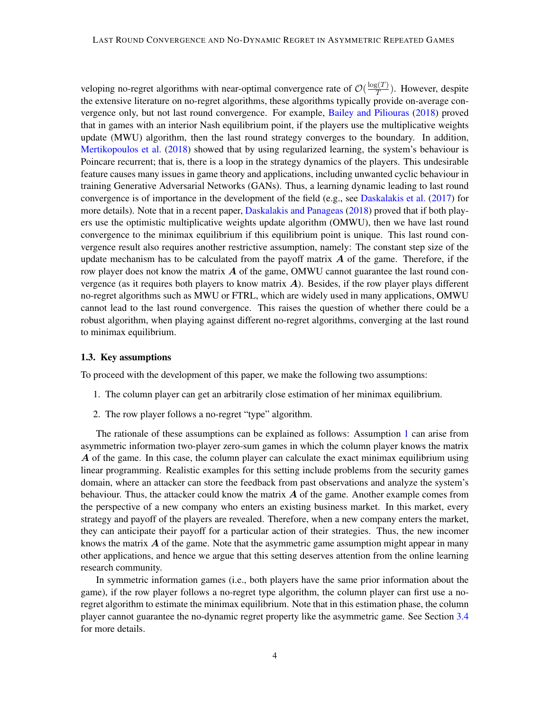veloping no-regret algorithms with near-optimal convergence rate of  $\mathcal{O}(\frac{\log(T)}{T})$  $\frac{f_5(I)}{T}$ ). However, despite the extensive literature on no-regret algorithms, these algorithms typically provide on-average convergence only, but not last round convergence. For example, [Bailey and Piliouras](#page-13-4) [\(2018\)](#page-13-4) proved that in games with an interior Nash equilibrium point, if the players use the multiplicative weights update (MWU) algorithm, then the last round strategy converges to the boundary. In addition, [Mertikopoulos et al.](#page-14-0) [\(2018\)](#page-14-0) showed that by using regularized learning, the system's behaviour is Poincare recurrent; that is, there is a loop in the strategy dynamics of the players. This undesirable feature causes many issues in game theory and applications, including unwanted cyclic behaviour in training Generative Adversarial Networks (GANs). Thus, a learning dynamic leading to last round convergence is of importance in the development of the field (e.g., see [Daskalakis et al.](#page-13-5) [\(2017\)](#page-13-5) for more details). Note that in a recent paper, [Daskalakis and Panageas](#page-13-6) [\(2018\)](#page-13-6) proved that if both players use the optimistic multiplicative weights update algorithm (OMWU), then we have last round convergence to the minimax equilibrium if this equilibrium point is unique. This last round convergence result also requires another restrictive assumption, namely: The constant step size of the update mechanism has to be calculated from the payoff matrix  $\boldsymbol{A}$  of the game. Therefore, if the row player does not know the matrix  $\vec{A}$  of the game, OMWU cannot guarantee the last round convergence (as it requires both players to know matrix  $\vec{A}$ ). Besides, if the row player plays different no-regret algorithms such as MWU or FTRL, which are widely used in many applications, OMWU cannot lead to the last round convergence. This raises the question of whether there could be a robust algorithm, when playing against different no-regret algorithms, converging at the last round to minimax equilibrium.

#### <span id="page-3-2"></span>1.3. Key assumptions

<span id="page-3-0"></span>To proceed with the development of this paper, we make the following two assumptions:

- 1. The column player can get an arbitrarily close estimation of her minimax equilibrium.
- <span id="page-3-1"></span>2. The row player follows a no-regret "type" algorithm.

The rationale of these assumptions can be explained as follows: Assumption [1](#page-3-0) can arise from asymmetric information two-player zero-sum games in which the column player knows the matrix A of the game. In this case, the column player can calculate the exact minimax equilibrium using linear programming. Realistic examples for this setting include problems from the security games domain, where an attacker can store the feedback from past observations and analyze the system's behaviour. Thus, the attacker could know the matrix  $\vec{A}$  of the game. Another example comes from the perspective of a new company who enters an existing business market. In this market, every strategy and payoff of the players are revealed. Therefore, when a new company enters the market, they can anticipate their payoff for a particular action of their strategies. Thus, the new incomer knows the matrix  $\vec{A}$  of the game. Note that the asymmetric game assumption might appear in many other applications, and hence we argue that this setting deserves attention from the online learning research community.

In symmetric information games (i.e., both players have the same prior information about the game), if the row player follows a no-regret type algorithm, the column player can first use a noregret algorithm to estimate the minimax equilibrium. Note that in this estimation phase, the column player cannot guarantee the no-dynamic regret property like the asymmetric game. See Section [3.4](#page-11-0) for more details.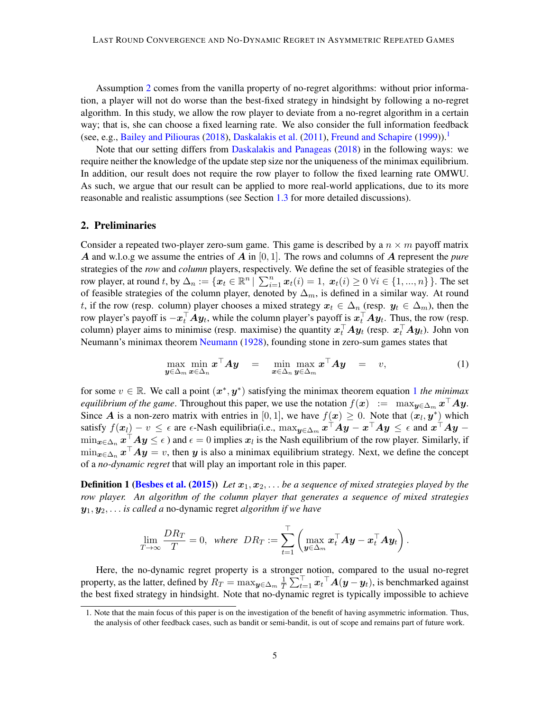Assumption [2](#page-3-1) comes from the vanilla property of no-regret algorithms: without prior information, a player will not do worse than the best-fixed strategy in hindsight by following a no-regret algorithm. In this study, we allow the row player to deviate from a no-regret algorithm in a certain way; that is, she can choose a fixed learning rate. We also consider the full information feedback (see, e.g., [Bailey and Piliouras](#page-13-4) [\(2018\)](#page-13-4), [Daskalakis et al.](#page-13-3) [\(2011\)](#page-13-3), [Freund and Schapire](#page-14-2) [\(1999\)](#page-14-2)).<sup>[1](#page-4-0)</sup>

Note that our setting differs from [Daskalakis and Panageas](#page-13-6) [\(2018\)](#page-13-6) in the following ways: we require neither the knowledge of the update step size nor the uniqueness of the minimax equilibrium. In addition, our result does not require the row player to follow the fixed learning rate OMWU. As such, we argue that our result can be applied to more real-world applications, due to its more reasonable and realistic assumptions (see Section [1.3](#page-3-2) for more detailed discussions).

### 2. Preliminaries

Consider a repeated two-player zero-sum game. This game is described by a  $n \times m$  payoff matrix A and w.l.o.g we assume the entries of A in [0, 1]. The rows and columns of A represent the *pure* strategies of the *row* and *column* players, respectively. We define the set of feasible strategies of the row player, at round t, by  $\Delta_n := \{ \mathbf{x}_t \in \mathbb{R}^n \mid \sum_{i=1}^n \mathbf{x}_t(i) = 1, \ \mathbf{x}_t(i) \ge 0 \ \forall i \in \{1, ..., n\} \}$ . The set of feasible strategies of the column player, denoted by  $\Delta_m$ , is defined in a similar way. At round t, if the row (resp. column) player chooses a mixed strategy  $x_t \in \Delta_n$  (resp.  $y_t \in \Delta_m$ ), then the row player's payoff is  $-x_t^\top A y_t$ , while the column player's payoff is  $x_t^\top A y_t$ . Thus, the row (resp. column) player aims to minimise (resp. maximise) the quantity  $x_t^\top A y_t$  (resp.  $x_t^\top A y_t$ ). John von Neumann's minimax theorem [Neumann](#page-14-4) [\(1928\)](#page-14-4), founding stone in zero-sum games states that

<span id="page-4-1"></span>
$$
\max_{\boldsymbol{y}\in\Delta_m} \min_{\boldsymbol{x}\in\Delta_n} \boldsymbol{x}^\top \boldsymbol{A} \boldsymbol{y} = \min_{\boldsymbol{x}\in\Delta_n} \max_{\boldsymbol{y}\in\Delta_m} \boldsymbol{x}^\top \boldsymbol{A} \boldsymbol{y} = v,
$$
\n(1)

for some  $v \in \mathbb{R}$ . We call a point  $(x^*, y^*)$  satisfying the minimax theorem equation [1](#page-4-1) *the minimax equilibrium of the game*. Throughout this paper, we use the notation  $f(x) := \max_{y \in \Delta_m} x^{\top} A y$ . Since A is a non-zero matrix with entries in [0, 1], we have  $f(x) \geq 0$ . Note that  $(x_l, y^*)$  which satisfy  $f(\bm{x}_l) - v \leq \epsilon$  are  $\epsilon$ -Nash equilibria(i.e.,  $\max_{\bm{y} \in \Delta_m} \bm{x}^\top \bm{A} \bm{y} - \bm{x}^\top \bm{A} \bm{y} \leq \epsilon$  and  $\bm{x}^\top \bm{A} \bm{y} \min_{\bm{x}\in\Delta_n}\bm{x}^\top\bm{A}\bm{y}\leq\epsilon$  ) and  $\epsilon=0$  implies  $\bm{x}_l$  is the Nash equilibrium of the row player. Similarly, if  $\min_{\bm{x} \in \Delta_n} \bm{x}^\top \bm{A} \bm{y} = v$ , then  $\bm{y}$  is also a minimax equilibrium strategy. Next, we define the concept of a *no-dynamic regret* that will play an important role in this paper.

**Definition 1 [\(Besbes et al.](#page-13-2) [\(2015\)](#page-13-2))** *Let*  $x_1, x_2, \ldots$  *be a sequence of mixed strategies played by the row player. An algorithm of the column player that generates a sequence of mixed strategies* y1, y2, . . . *is called a* no-dynamic regret *algorithm if we have*

$$
\lim_{T\to\infty}\frac{DR_T}{T}=0,\;\;where\;\; DR_T:=\sum_{t=1}^{\top}\left(\max_{{\boldsymbol y}\in\Delta_m}{\boldsymbol x}_t^\top{\boldsymbol A}{\boldsymbol y}-{\boldsymbol x}_t^\top{\boldsymbol A}{\boldsymbol y}_t\right).
$$

Here, the no-dynamic regret property is a stronger notion, compared to the usual no-regret property, as the latter, defined by  $R_T=\max_{\bm{y}\in\Delta_m} \frac{1}{T}$  $\frac{1}{T} \sum_{t=1}^{T} x_t^{\top} A(y - y_t)$ , is benchmarked against the best fixed strategy in hindsight. Note that no-dynamic regret is typically impossible to achieve

<span id="page-4-0"></span><sup>1.</sup> Note that the main focus of this paper is on the investigation of the benefit of having asymmetric information. Thus, the analysis of other feedback cases, such as bandit or semi-bandit, is out of scope and remains part of future work.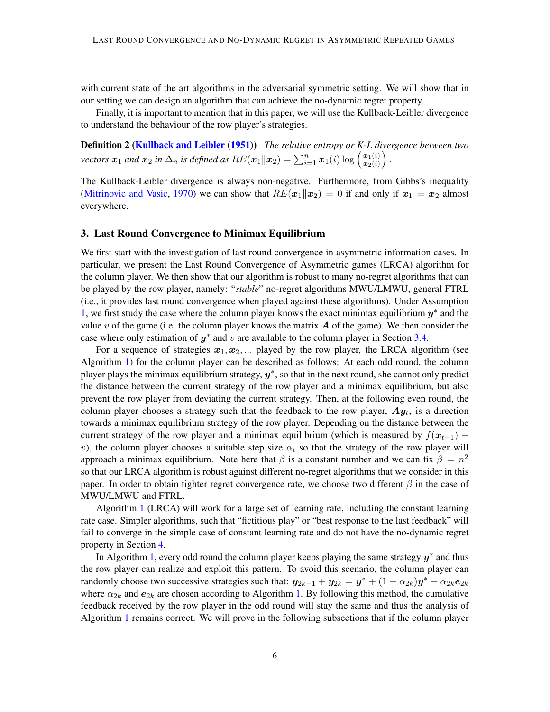with current state of the art algorithms in the adversarial symmetric setting. We will show that in our setting we can design an algorithm that can achieve the no-dynamic regret property.

<span id="page-5-1"></span>Finally, it is important to mention that in this paper, we will use the Kullback-Leibler divergence to understand the behaviour of the row player's strategies.

Definition 2 [\(Kullback and Leibler](#page-14-5) [\(1951\)](#page-14-5)) *The relative entropy or K-L divergence between two vectors*  $\bm{x}_1$  *and*  $\bm{x}_2$  *in*  $\Delta_n$  *is defined as*  $RE(\bm{x}_1\|\bm{x}_2) = \sum_{i=1}^n \bm{x}_1(i) \log\left(\frac{\bm{x}_1(i)}{\bm{x}_2(i)}\right)$  $\bm{x}_2(i)$  $\big)$  .

The Kullback-Leibler divergence is always non-negative. Furthermore, from Gibbs's inequality [\(Mitrinovic and Vasic,](#page-14-6) [1970\)](#page-14-6) we can show that  $RE(x_1||x_2) = 0$  if and only if  $x_1 = x_2$  almost everywhere.

## <span id="page-5-0"></span>3. Last Round Convergence to Minimax Equilibrium

We first start with the investigation of last round convergence in asymmetric information cases. In particular, we present the Last Round Convergence of Asymmetric games (LRCA) algorithm for the column player. We then show that our algorithm is robust to many no-regret algorithms that can be played by the row player, namely: "*stable*" no-regret algorithms MWU/LMWU, general FTRL (i.e., it provides last round convergence when played against these algorithms). Under Assumption [1,](#page-3-0) we first study the case where the column player knows the exact minimax equilibrium  $y^*$  and the value v of the game (i.e. the column player knows the matrix  $A$  of the game). We then consider the case where only estimation of  $y^*$  and v are available to the column player in Section [3.4.](#page-11-0)

For a sequence of strategies  $x_1, x_2, \dots$  played by the row player, the LRCA algorithm (see Algorithm [1\)](#page-6-0) for the column player can be described as follows: At each odd round, the column player plays the minimax equilibrium strategy,  $y^*$ , so that in the next round, she cannot only predict the distance between the current strategy of the row player and a minimax equilibrium, but also prevent the row player from deviating the current strategy. Then, at the following even round, the column player chooses a strategy such that the feedback to the row player,  $Ay_t$ , is a direction towards a minimax equilibrium strategy of the row player. Depending on the distance between the current strategy of the row player and a minimax equilibrium (which is measured by  $f(x_{t-1})$  − v), the column player chooses a suitable step size  $\alpha_t$  so that the strategy of the row player will approach a minimax equilibrium. Note here that  $\beta$  is a constant number and we can fix  $\beta = n^2$ so that our LRCA algorithm is robust against different no-regret algorithms that we consider in this paper. In order to obtain tighter regret convergence rate, we choose two different  $\beta$  in the case of MWU/LMWU and FTRL.

Algorithm [1](#page-6-0) (LRCA) will work for a large set of learning rate, including the constant learning rate case. Simpler algorithms, such that "fictitious play" or "best response to the last feedback" will fail to converge in the simple case of constant learning rate and do not have the no-dynamic regret property in Section [4.](#page-12-0)

In Algorithm [1,](#page-6-0) every odd round the column player keeps playing the same strategy  $y^*$  and thus the row player can realize and exploit this pattern. To avoid this scenario, the column player can randomly choose two successive strategies such that:  $y_{2k-1} + y_{2k} = y^* + (1 - \alpha_{2k})y^* + \alpha_{2k}e_{2k}$ where  $\alpha_{2k}$  and  $e_{2k}$  are chosen according to Algorithm [1.](#page-6-0) By following this method, the cumulative feedback received by the row player in the odd round will stay the same and thus the analysis of Algorithm [1](#page-6-0) remains correct. We will prove in the following subsections that if the column player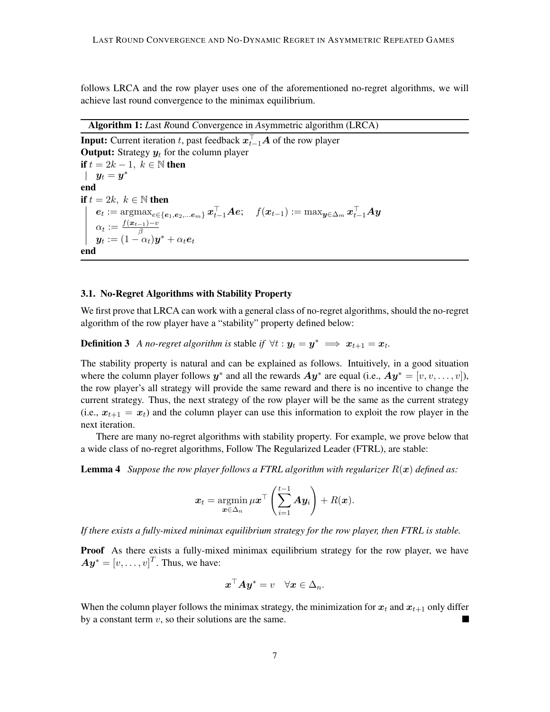follows LRCA and the row player uses one of the aforementioned no-regret algorithms, we will achieve last round convergence to the minimax equilibrium.

Algorithm 1: *L*ast *R*ound *C*onvergence in *A*symmetric algorithm (LRCA)

**Input:** Current iteration  $t$ , past feedback  $\boldsymbol{x}_{t-1}^{\top} \boldsymbol{A}$  of the row player **Output:** Strategy  $y_t$  for the column player if  $t = 2k - 1$ ,  $k \in \mathbb{N}$  then  $y_t = y^*$ end if  $t = 2k, k \in \mathbb{N}$  then  $\boldsymbol{e}_t := \mathop{\mathrm{argmax}}_{e \in \{\boldsymbol{e}_1, \boldsymbol{e}_2, ... \boldsymbol{e}_m\}} \boldsymbol{x}_{t-1}^{\top} \boldsymbol{A} \boldsymbol{e}; \quad f(\boldsymbol{x}_{t-1}) := \max_{\boldsymbol{y} \in \Delta_m} \boldsymbol{x}_{t-1}^{\top} \boldsymbol{A} \boldsymbol{y}$  $\alpha_t := \frac{f(\boldsymbol{x}_{t-1})-v}{\beta}$  $\overset{\alpha_t}{\bm{y}_t} := (1-\alpha_t)\bm{y}^* + \alpha_t\bm{e}_t$ end

#### <span id="page-6-0"></span>3.1. No-Regret Algorithms with Stability Property

We first prove that LRCA can work with a general class of no-regret algorithms, should the no-regret algorithm of the row player have a "stability" property defined below:

**Definition 3** *A no-regret algorithm is stable if*  $\forall t : y_t = y^* \implies x_{t+1} = x_t$ .

The stability property is natural and can be explained as follows. Intuitively, in a good situation where the column player follows  $y^*$  and all the rewards  $Ay^*$  are equal (i.e.,  $Ay^* = [v, v, \dots, v]$ ), the row player's all strategy will provide the same reward and there is no incentive to change the current strategy. Thus, the next strategy of the row player will be the same as the current strategy (i.e.,  $x_{t+1} = x_t$ ) and the column player can use this information to exploit the row player in the next iteration.

There are many no-regret algorithms with stability property. For example, we prove below that a wide class of no-regret algorithms, Follow The Regularized Leader (FTRL), are stable:

**Lemma 4** *Suppose the row player follows a FTRL algorithm with regularizer*  $R(x)$  *defined as:* 

$$
\boldsymbol{x}_t = \operatorname*{argmin}_{\boldsymbol{x} \in \Delta_n} \mu \boldsymbol{x}^\top \left( \sum_{i=1}^{t-1} \boldsymbol{A} \boldsymbol{y}_i \right) + R(\boldsymbol{x}).
$$

*If there exists a fully-mixed minimax equilibrium strategy for the row player, then FTRL is stable.*

**Proof** As there exists a fully-mixed minimax equilibrium strategy for the row player, we have  $\boldsymbol{A}\boldsymbol{y}^{\ast}=[v,\ldots,v]^{T}$ . Thus, we have:

$$
\boldsymbol{x}^\top \boldsymbol{A} \boldsymbol{y}^* = v \quad \forall \boldsymbol{x} \in \Delta_n.
$$

When the column player follows the minimax strategy, the minimization for  $x_t$  and  $x_{t+1}$  only differ by a constant term  $v$ , so their solutions are the same.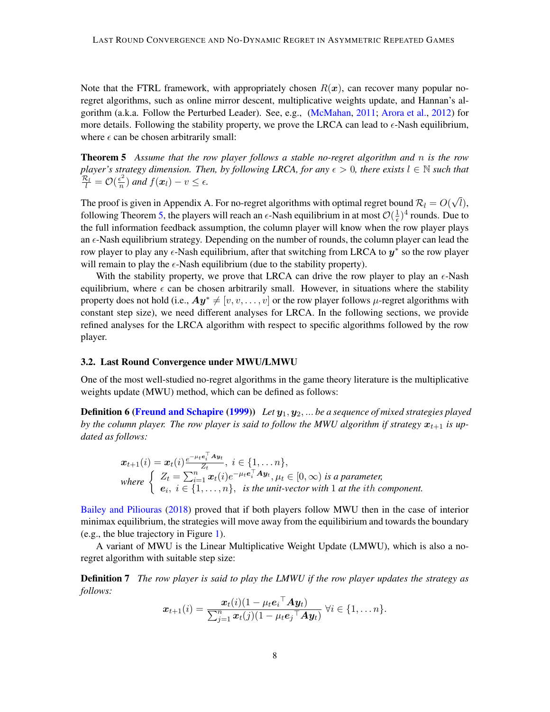Note that the FTRL framework, with appropriately chosen  $R(x)$ , can recover many popular noregret algorithms, such as online mirror descent, multiplicative weights update, and Hannan's algorithm (a.k.a. Follow the Perturbed Leader). See, e.g., [\(McMahan,](#page-14-7) [2011;](#page-14-7) [Arora et al.,](#page-13-1) [2012\)](#page-13-1) for more details. Following the stability property, we prove the LRCA can lead to  $\epsilon$ -Nash equilibrium, where  $\epsilon$  can be chosen arbitrarily small:

<span id="page-7-0"></span>Theorem 5 *Assume that the row player follows a stable no-regret algorithm and* n *is the row player's strategy dimension. Then, by following LRCA, for any*  $\epsilon > 0$ , there exists  $l \in \mathbb{N}$  such that  $\frac{\mathcal{R}_l}{l} = \mathcal{O}(\frac{\epsilon^2}{n})$  $\frac{\epsilon^2}{n}$ ) and  $f(\boldsymbol{x}_l) - v \leq \epsilon$ .

The proof is given in Appendix A. For no-regret algorithms with optimal regret bound  $\mathcal{R}_l = O($ √ l), following Theorem [5,](#page-7-0) the players will reach an  $\epsilon$ -Nash equilibrium in at most  $\mathcal{O}(\frac{1}{\epsilon})$  $(\frac{1}{\epsilon})^4$  rounds. Due to the full information feedback assumption, the column player will know when the row player plays an  $\epsilon$ -Nash equilibrium strategy. Depending on the number of rounds, the column player can lead the row player to play any  $\epsilon$ -Nash equilibrium, after that switching from LRCA to  $y^*$  so the row player will remain to play the  $\epsilon$ -Nash equilibrium (due to the stability property).

With the stability property, we prove that LRCA can drive the row player to play an  $\epsilon$ -Nash equilibrium, where  $\epsilon$  can be chosen arbitrarily small. However, in situations where the stability property does not hold (i.e.,  $Ay^* \neq [v, v, \dots, v]$  or the row player follows  $\mu$ -regret algorithms with constant step size), we need different analyses for LRCA. In the following sections, we provide refined analyses for the LRCA algorithm with respect to specific algorithms followed by the row player.

### 3.2. Last Round Convergence under MWU/LMWU

One of the most well-studied no-regret algorithms in the game theory literature is the multiplicative weights update (MWU) method, which can be defined as follows:

**Definition 6 [\(Freund and Schapire](#page-14-2) [\(1999\)](#page-14-2))** *Let*  $y_1, y_2, ...$  *be a sequence of mixed strategies played by the column player. The row player is said to follow the MWU algorithm if strategy*  $x_{t+1}$  *is updated as follows:*

$$
\begin{aligned}\n\boldsymbol{x}_{t+1}(i) &= \boldsymbol{x}_t(i) \frac{e^{-\mu_t \boldsymbol{e}_i^\top \boldsymbol{A} \boldsymbol{y}_t}}{Z_t}, \ i \in \{1, \dots n\}, \\
\text{where } \begin{cases}\nZ_t &= \sum_{i=1}^n \boldsymbol{x}_t(i) e^{-\mu_t \boldsymbol{e}_i^\top \boldsymbol{A} \boldsymbol{y}_t}, \mu_t \in [0, \infty) \ \text{is a parameter}, \\
\boldsymbol{e}_i, \ i \in \{1, \dots, n\}, \ \text{is the unit-vector with 1 at the } i\text{th component.}\n\end{cases}\n\end{aligned}
$$

[Bailey and Piliouras](#page-13-4) [\(2018\)](#page-13-4) proved that if both players follow MWU then in the case of interior minimax equilibrium, the strategies will move away from the equilibirium and towards the boundary (e.g., the blue trajectory in Figure [1\)](#page-1-0).

A variant of MWU is the Linear Multiplicative Weight Update (LMWU), which is also a noregret algorithm with suitable step size:

Definition 7 *The row player is said to play the LMWU if the row player updates the strategy as follows:*

$$
\boldsymbol{x}_{t+1}(i) = \frac{\boldsymbol{x}_t(i)(1 - \mu_t \boldsymbol{e}_i^\top \boldsymbol{A} \boldsymbol{y}_t)}{\sum_{j=1}^n \boldsymbol{x}_t(j)(1 - \mu_t \boldsymbol{e}_j^\top \boldsymbol{A} \boldsymbol{y}_t)} \ \forall i \in \{1, \dots n\}.
$$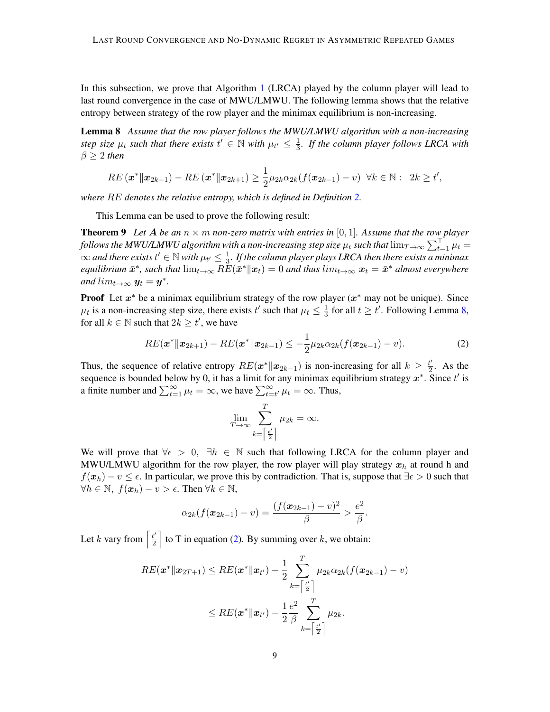In this subsection, we prove that Algorithm [1](#page-6-0) (LRCA) played by the column player will lead to last round convergence in the case of MWU/LMWU. The following lemma shows that the relative entropy between strategy of the row player and the minimax equilibrium is non-increasing.

<span id="page-8-0"></span>Lemma 8 *Assume that the row player follows the MWU/LMWU algorithm with a non-increasing step size*  $\mu_t$  *such that there exists*  $t' \in \mathbb{N}$  *with*  $\mu_{t'} \leq \frac{1}{3}$ 3 *. If the column player follows LRCA with*  $\beta > 2$  *then* 

<span id="page-8-2"></span>
$$
RE\left(\mathbf{x}^*\|\mathbf{x}_{2k-1}\right) - RE\left(\mathbf{x}^*\|\mathbf{x}_{2k+1}\right) \ge \frac{1}{2}\mu_{2k}\alpha_{2k}(f(\mathbf{x}_{2k-1}) - v) \ \ \forall k \in \mathbb{N}: \ \ 2k \ge t',
$$

*where* RE *denotes the relative entropy, which is defined in Definition [2.](#page-5-1)*

This Lemma can be used to prove the following result:

**Theorem 9** Let A be an  $n \times m$  non-zero matrix with entries in [0, 1]. Assume that the row player follows the MWU/LMWU algorithm with a non-increasing step size  $\mu_t$  such that  $\lim_{T\to\infty}\sum_{t=1}^{\top}\mu_t=$  $\infty$  and there exists  $t' \in \mathbb{N}$  with  $\mu_{t'} \leq \frac{1}{3}$  $\frac{1}{3}$ . If the column player plays LRCA then there exists a minimax  $\epsilon$ quilibrium  $\bar{x}^*$ , such that  $\lim_{t\to\infty} R\check{E}(\bar{x}^*\|x_t)=0$  and thus  $\lim_{t\to\infty} x_t=\bar{x}^*$  almost everywhere *and*  $lim_{t\to\infty} y_t = y^*$ .

**Proof** Let  $x^*$  be a minimax equilibrium strategy of the row player  $(x^*$  may not be unique). Since  $\mu_t$  is a non-increasing step size, there exists t' such that  $\mu_t \leq \frac{1}{3}$  $\frac{1}{3}$  for all  $t \geq t'$ . Following Lemma [8,](#page-8-0) for all  $k \in \mathbb{N}$  such that  $2k \ge t'$ , we have

<span id="page-8-1"></span>
$$
RE(\boldsymbol{x}^*||\boldsymbol{x}_{2k+1}) - RE(\boldsymbol{x}^*||\boldsymbol{x}_{2k-1}) \leq -\frac{1}{2}\mu_{2k}\alpha_{2k}(f(\boldsymbol{x}_{2k-1}) - v).
$$
\n(2)

Thus, the sequence of relative entropy  $RE(x^*||x_{2k-1})$  is non-increasing for all  $k \geq \frac{t'}{2}$  $\frac{t}{2}$ . As the sequence is bounded below by 0, it has a limit for any minimax equilibrium strategy  $x^*$ . Since  $t'$  is a finite number and  $\sum_{t=1}^{\infty} \mu_t = \infty$ , we have  $\sum_{t=t'}^{\infty} \mu_t = \infty$ . Thus,

$$
\lim_{T \to \infty} \sum_{k = \left\lceil \frac{t'}{2} \right\rceil}^{T} \mu_{2k} = \infty.
$$

We will prove that  $\forall \epsilon > 0$ ,  $\exists h \in \mathbb{N}$  such that following LRCA for the column player and MWU/LMWU algorithm for the row player, the row player will play strategy  $x_h$  at round h and  $f(x_h) - v \leq \epsilon$ . In particular, we prove this by contradiction. That is, suppose that  $\exists \epsilon > 0$  such that  $\forall h \in \mathbb{N}, f(\boldsymbol{x}_h) - v > \epsilon$ . Then  $\forall k \in \mathbb{N},$ 

$$
\alpha_{2k}(f(\boldsymbol{x}_{2k-1})-v)=\frac{(f(\boldsymbol{x}_{2k-1})-v)^2}{\beta}>\frac{e^2}{\beta}.
$$

Let k vary from  $\left[\frac{t'}{2}\right]$  $\left[\frac{t'}{2}\right]$  to T in equation [\(2\)](#page-8-1). By summing over k, we obtain:

$$
RE({\boldsymbol{x}}^*\|{\boldsymbol{x}}_{2T+1}) \leq RE({\boldsymbol{x}}^*\|{\boldsymbol{x}}_{t'}) - \frac{1}{2}\sum_{k=\left\lceil\frac{t'}{2}\right\rceil}^T \mu_{2k} \alpha_{2k} (f({\boldsymbol{x}}_{2k-1}) - v) \\ \leq RE({\boldsymbol{x}}^*\|{\boldsymbol{x}}_{t'}) - \frac{1}{2}\frac{e^2}{\beta}\sum_{k=\left\lceil\frac{t'}{2}\right\rceil}^T \mu_{2k}.
$$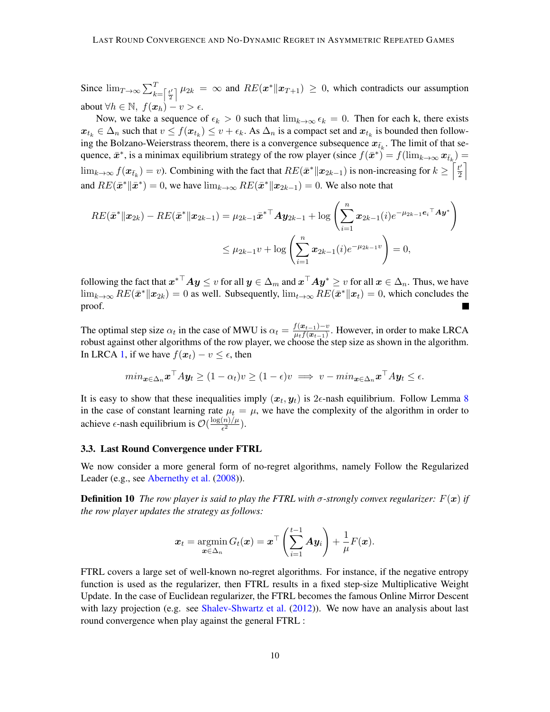Since  $\lim_{T\to\infty}\sum_{k=\lceil \frac{t'}{2} \rceil}^T$  $\frac{d}{2} \binom{n}{2}$   $\mu_{2k} = \infty$  and  $RE(\boldsymbol{x}^* \| \boldsymbol{x}_{T+1}) \geq 0$ , which contradicts our assumption about  $\forall h \in \mathbb{N}, f(\boldsymbol{x}_h) - v > \epsilon$ .

Now, we take a sequence of  $\epsilon_k > 0$  such that  $\lim_{k \to \infty} \epsilon_k = 0$ . Then for each k, there exists  $x_{t_k} \in \Delta_n$  such that  $v \le f(x_{t_k}) \le v + \epsilon_k$ . As  $\Delta_n$  is a compact set and  $x_{t_k}$  is bounded then following the Bolzano-Weierstrass theorem, there is a convergence subsequence  $x_{\bar{t}_k}$ . The limit of that sequence,  $\bar{x}^*$ , is a minimax equilibrium strategy of the row player (since  $f(\bar{x}^*) = f(\lim_{k \to \infty} x_{\bar{t}_k}) =$  $\lim_{k\to\infty} f(\mathbf{x}_{\bar{t}_k}) = v$ ). Combining with the fact that  $RE(\bar{\mathbf{x}}^* \| \mathbf{x}_{2k-1})$  is non-increasing for  $k \geq \left\lceil \frac{t'}{2} \right\rceil$  $\frac{t'}{2}$ and  $RE(\bar{x}^* \| \bar{x}^*) = 0$ , we have  $\lim_{k \to \infty} RE(\bar{x}^* \| x_{2k-1}) = 0$ . We also note that

$$
RE(\bar{x}^* \| x_{2k}) - RE(\bar{x}^* \| x_{2k-1}) = \mu_{2k-1} \bar{x}^{* \top} A y_{2k-1} + \log \left( \sum_{i=1}^n x_{2k-1}(i) e^{-\mu_{2k-1} e_i \top} A y^* \right)
$$
  

$$
\leq \mu_{2k-1} v + \log \left( \sum_{i=1}^n x_{2k-1}(i) e^{-\mu_{2k-1} v} \right) = 0,
$$

following the fact that  $\bm{x}^{*{\top}}\bm{A}\bm{y}\leq v$  for all  $\bm{y}\in\Delta_m$  and  $\bm{x}^{\top}\bm{A}\bm{y}^*\geq v$  for all  $\bm{x}\in\Delta_n.$  Thus, we have  $\lim_{k\to\infty} RE(\bar{x}^* \| x_{2k}) = 0$  as well. Subsequently,  $\lim_{t\to\infty} RE(\bar{x}^* \| x_t) = 0$ , which concludes the proof.

The optimal step size  $\alpha_t$  in the case of MWU is  $\alpha_t = \frac{f(x_{t-1}) - v}{u_t f(x_{t-1})}$  $\frac{f(\mathbf{x}_{t-1}) - v}{\mu_t f(\mathbf{x}_{t-1})}$ . However, in order to make LRCA robust against other algorithms of the row player, we choose the step size as shown in the algorithm. In LRCA [1,](#page-6-0) if we have  $f(x_t) - v \leq \epsilon$ , then

$$
min_{\mathbf{x}\in\Delta_n}\mathbf{x}^\top A\mathbf{y}_t \ge (1-\alpha_t)v \ge (1-\epsilon)v \implies v - min_{\mathbf{x}\in\Delta_n}\mathbf{x}^\top A\mathbf{y}_t \le \epsilon.
$$

It is easy to show that these inequalities imply  $(x_t, y_t)$  is  $2\epsilon$ -nash equilibrium. Follow Lemma [8](#page-8-0) in the case of constant learning rate  $\mu_t = \mu$ , we have the complexity of the algorithm in order to achieve  $\epsilon$ -nash equilibrium is  $\mathcal{O}(\frac{\log(n)/\mu}{\epsilon^2})$  $\frac{(n)/\mu}{\epsilon^2}$ ).

#### 3.3. Last Round Convergence under FTRL

We now consider a more general form of no-regret algorithms, namely Follow the Regularized Leader (e.g., see [Abernethy et al.](#page-13-7)  $(2008)$ ).

**Definition 10** *The row player is said to play the FTRL with*  $\sigma$ -strongly convex regularizer:  $F(x)$  if *the row player updates the strategy as follows:*

<span id="page-9-0"></span>
$$
\boldsymbol{x}_t = \operatorname*{argmin}_{\boldsymbol{x} \in \Delta_n} G_t(\boldsymbol{x}) = \boldsymbol{x}^\top \left( \sum_{i=1}^{t-1} \boldsymbol{A} \boldsymbol{y}_i \right) + \frac{1}{\mu} F(\boldsymbol{x}).
$$

FTRL covers a large set of well-known no-regret algorithms. For instance, if the negative entropy function is used as the regularizer, then FTRL results in a fixed step-size Multiplicative Weight Update. In the case of Euclidean regularizer, the FTRL becomes the famous Online Mirror Descent with lazy projection (e.g. see [Shalev-Shwartz et al.](#page-14-8) [\(2012\)](#page-14-8)). We now have an analysis about last round convergence when play against the general FTRL :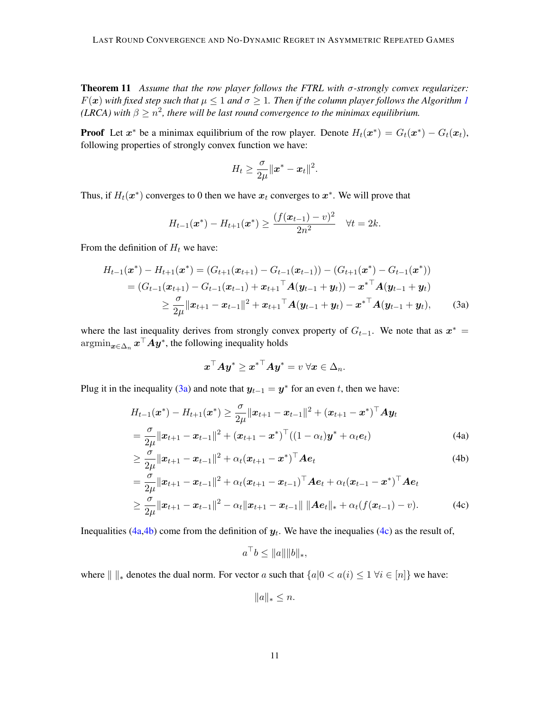Theorem 11 *Assume that the row player follows the FTRL with* σ*-strongly convex regularizer:*  $F(x)$  with fixed step such that  $\mu \leq 1$  $\mu \leq 1$  and  $\sigma \geq 1$ . Then if the column player follows the Algorithm 1 (LRCA) with  $\beta \geq n^2$ , there will be last round convergence to the minimax equilibrium.

**Proof** Let  $x^*$  be a minimax equilibrium of the row player. Denote  $H_t(x^*) = G_t(x^*) - G_t(x_t)$ , following properties of strongly convex function we have:

$$
H_t \geq \frac{\sigma}{2\mu} \|x^* - x_t\|^2.
$$

Thus, if  $H_t(\mathbf{x}^*)$  converges to 0 then we have  $\mathbf{x}_t$  converges to  $\mathbf{x}^*$ . We will prove that

$$
H_{t-1}(\boldsymbol{x}^*) - H_{t+1}(\boldsymbol{x}^*) \geq \frac{(f(\boldsymbol{x}_{t-1}) - v)^2}{2n^2} \quad \forall t = 2k.
$$

From the definition of  $H_t$  we have:

$$
H_{t-1}(\boldsymbol{x}^*) - H_{t+1}(\boldsymbol{x}^*) = (G_{t+1}(\boldsymbol{x}_{t+1}) - G_{t-1}(\boldsymbol{x}_{t-1})) - (G_{t+1}(\boldsymbol{x}^*) - G_{t-1}(\boldsymbol{x}^*))
$$
  
=  $(G_{t-1}(\boldsymbol{x}_{t+1}) - G_{t-1}(\boldsymbol{x}_{t-1}) + \boldsymbol{x}_{t+1}^\top \mathbf{A}(\boldsymbol{y}_{t-1} + \boldsymbol{y}_t)) - \boldsymbol{x}^{* \top} \mathbf{A}(\boldsymbol{y}_{t-1} + \boldsymbol{y}_t)$   
 $\geq \frac{\sigma}{2\mu} ||\boldsymbol{x}_{t+1} - \boldsymbol{x}_{t-1}||^2 + \boldsymbol{x}_{t+1}^\top \mathbf{A}(\boldsymbol{y}_{t-1} + \boldsymbol{y}_t) - \boldsymbol{x}^{* \top} \mathbf{A}(\boldsymbol{y}_{t-1} + \boldsymbol{y}_t),$  (3a)

where the last inequality derives from strongly convex property of  $G_{t-1}$ . We note that as  $x^* =$  $\operatorname{argmin}_{\boldsymbol{x} \in \Delta_n} \boldsymbol{x}^\top A \boldsymbol{y}^*,$  the following inequality holds

<span id="page-10-0"></span>
$$
\boldsymbol{x}^\top A \boldsymbol{y}^* \geq \boldsymbol{x}^{*\top} A \boldsymbol{y}^* = v \; \forall \boldsymbol{x} \in \Delta_n.
$$

Plug it in the inequality [\(3a\)](#page-10-0) and note that  $y_{t-1} = y^*$  for an even t, then we have:

$$
H_{t-1}(\boldsymbol{x}^*) - H_{t+1}(\boldsymbol{x}^*) \geq \frac{\sigma}{2\mu} ||\boldsymbol{x}_{t+1} - \boldsymbol{x}_{t-1}||^2 + (\boldsymbol{x}_{t+1} - \boldsymbol{x}^*)^\top \mathbf{A} \boldsymbol{y}_t
$$
  
= 
$$
\frac{\sigma}{2\mu} ||\boldsymbol{x}_{t+1} - \boldsymbol{x}_{t-1}||^2 + (\boldsymbol{x}_{t+1} - \boldsymbol{x}^*)^\top ((1 - \alpha_t) \boldsymbol{y}^* + \alpha_t \boldsymbol{e}_t)
$$
(4a)

$$
\geq \frac{\sigma}{2\mu} \|\boldsymbol{x}_{t+1} - \boldsymbol{x}_{t-1}\|^2 + \alpha_t (\boldsymbol{x}_{t+1} - \boldsymbol{x}^*)^\top \boldsymbol{A} \boldsymbol{e}_t \tag{4b}
$$

$$
= \frac{\sigma}{2\mu} ||\mathbf{x}_{t+1} - \mathbf{x}_{t-1}||^2 + \alpha_t (\mathbf{x}_{t+1} - \mathbf{x}_{t-1})^\top \mathbf{A} \mathbf{e}_t + \alpha_t (\mathbf{x}_{t-1} - \mathbf{x}^*)^\top \mathbf{A} \mathbf{e}_t
$$
  
\n
$$
\geq \frac{\sigma}{2\mu} ||\mathbf{x}_{t+1} - \mathbf{x}_{t-1}||^2 - \alpha_t ||\mathbf{x}_{t+1} - \mathbf{x}_{t-1}|| ||\mathbf{A} \mathbf{e}_t||_* + \alpha_t (f(\mathbf{x}_{t-1}) - v).
$$
 (4c)

Inequalities [\(4a,](#page-10-1)[4b\)](#page-10-2) come from the definition of  $y_t$ . We have the inequalies [\(4c\)](#page-10-3) as the result of,

<span id="page-10-3"></span><span id="page-10-2"></span><span id="page-10-1"></span>
$$
a^{\top}b \le ||a|| ||b||_*,
$$

where  $|| \cdot ||_*$  denotes the dual norm. For vector a such that  ${a|0 < a(i) \leq 1 \forall i \in [n]}$  we have:

$$
||a||_* \leq n.
$$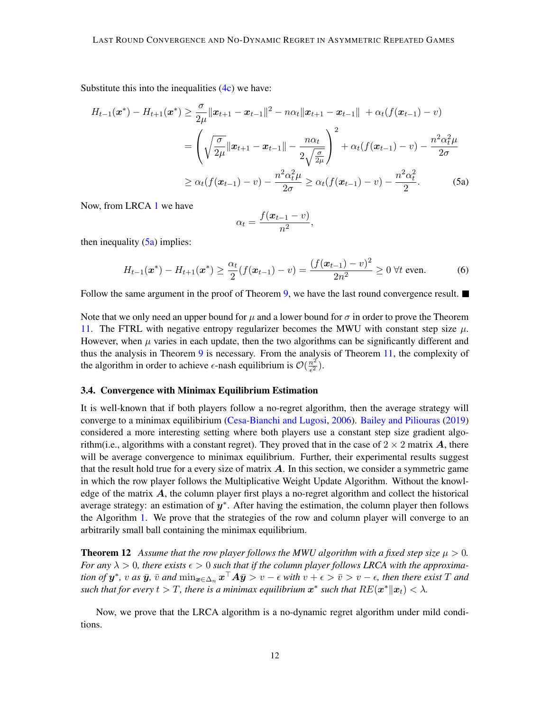Substitute this into the inequalities  $(4c)$  we have:

$$
H_{t-1}(\boldsymbol{x}^*) - H_{t+1}(\boldsymbol{x}^*) \geq \frac{\sigma}{2\mu} ||\boldsymbol{x}_{t+1} - \boldsymbol{x}_{t-1}||^2 - n\alpha_t ||\boldsymbol{x}_{t+1} - \boldsymbol{x}_{t-1}|| + \alpha_t (f(\boldsymbol{x}_{t-1}) - v)
$$
  
=  $\left(\sqrt{\frac{\sigma}{2\mu}} ||\boldsymbol{x}_{t+1} - \boldsymbol{x}_{t-1}|| - \frac{n\alpha_t}{2\sqrt{\frac{\sigma}{2\mu}}}\right)^2 + \alpha_t (f(\boldsymbol{x}_{t-1}) - v) - \frac{n^2 \alpha_t^2 \mu}{2\sigma}$   
 $\geq \alpha_t (f(\boldsymbol{x}_{t-1}) - v) - \frac{n^2 \alpha_t^2 \mu}{2\sigma} \geq \alpha_t (f(\boldsymbol{x}_{t-1}) - v) - \frac{n^2 \alpha_t^2}{2}.$  (5a)

Now, from LRCA [1](#page-6-0) we have

<span id="page-11-1"></span>
$$
\alpha_t = \frac{f(\boldsymbol{x}_{t-1} - v)}{n^2},
$$

then inequality  $(5a)$  implies:

$$
H_{t-1}(\boldsymbol{x}^*) - H_{t+1}(\boldsymbol{x}^*) \ge \frac{\alpha_t}{2} (f(\boldsymbol{x}_{t-1}) - v) = \frac{(f(\boldsymbol{x}_{t-1}) - v)^2}{2n^2} \ge 0 \ \forall t \text{ even.}
$$
 (6)

Follow the same argument in the proof of Theorem [9,](#page-8-2) we have the last round convergence result.  $\blacksquare$ 

Note that we only need an upper bound for  $\mu$  and a lower bound for  $\sigma$  in order to prove the Theorem [11.](#page-9-0) The FTRL with negative entropy regularizer becomes the MWU with constant step size  $\mu$ . However, when  $\mu$  varies in each update, then the two algorithms can be significantly different and thus the analysis in Theorem [9](#page-8-2) is necessary. From the analysis of Theorem [11,](#page-9-0) the complexity of the algorithm in order to achieve  $\epsilon$ -nash equilibrium is  $\mathcal{O}(\frac{n^2}{\epsilon^2})$  $\frac{n^2}{\epsilon^2}).$ 

## <span id="page-11-0"></span>3.4. Convergence with Minimax Equilibrium Estimation

It is well-known that if both players follow a no-regret algorithm, then the average strategy will converge to a minimax equilibirium [\(Cesa-Bianchi and Lugosi,](#page-13-0) [2006\)](#page-13-0). [Bailey and Piliouras](#page-13-8) [\(2019\)](#page-13-8) considered a more interesting setting where both players use a constant step size gradient algorithm(i.e., algorithms with a constant regret). They proved that in the case of  $2 \times 2$  matrix A, there will be average convergence to minimax equilibrium. Further, their experimental results suggest that the result hold true for a every size of matrix  $\vec{A}$ . In this section, we consider a symmetric game in which the row player follows the Multiplicative Weight Update Algorithm. Without the knowledge of the matrix  $\vec{A}$ , the column player first plays a no-regret algorithm and collect the historical average strategy: an estimation of  $y^*$ . After having the estimation, the column player then follows the Algorithm [1.](#page-6-0) We prove that the strategies of the row and column player will converge to an arbitrarily small ball containing the minimax equilibrium.

<span id="page-11-2"></span>**Theorem 12** Assume that the row player follows the MWU algorithm with a fixed step size  $\mu > 0$ . *For any*  $\lambda > 0$ , there exists  $\epsilon > 0$  such that if the column player follows LRCA with the approxima $t$ *ion of*  $y^*$ *, v as*  $\bar{y}$ *,*  $\bar{v}$  *and*  $\min_{\bm{x}\in\Delta_n}\bm{x}^\top A\bar{y}>v-\epsilon$  with  $v+\epsilon>\bar{v}>v-\epsilon$ , then there exist  $T$  and such that for every  $t > T$ , there is a minimax equilibrium  $\boldsymbol{x}^*$  such that  $R E(\boldsymbol{x}^* \| \boldsymbol{x}_t) < \lambda$ .

Now, we prove that the LRCA algorithm is a no-dynamic regret algorithm under mild conditions.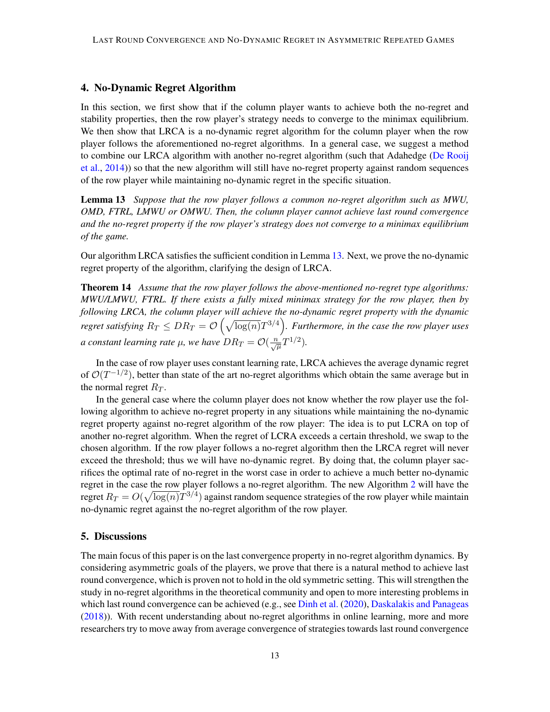## <span id="page-12-0"></span>4. No-Dynamic Regret Algorithm

In this section, we first show that if the column player wants to achieve both the no-regret and stability properties, then the row player's strategy needs to converge to the minimax equilibrium. We then show that LRCA is a no-dynamic regret algorithm for the column player when the row player follows the aforementioned no-regret algorithms. In a general case, we suggest a method to combine our LRCA algorithm with another no-regret algorithm (such that Adahedge [\(De Rooij](#page-13-9) [et al.,](#page-13-9) [2014\)](#page-13-9)) so that the new algorithm will still have no-regret property against random sequences of the row player while maintaining no-dynamic regret in the specific situation.

<span id="page-12-1"></span>Lemma 13 *Suppose that the row player follows a common no-regret algorithm such as MWU, OMD, FTRL, LMWU or OMWU. Then, the column player cannot achieve last round convergence and the no-regret property if the row player's strategy does not converge to a minimax equilibrium of the game.*

<span id="page-12-2"></span>Our algorithm LRCA satisfies the sufficient condition in Lemma [13.](#page-12-1) Next, we prove the no-dynamic regret property of the algorithm, clarifying the design of LRCA.

Theorem 14 *Assume that the row player follows the above-mentioned no-regret type algorithms: MWU/LMWU, FTRL. If there exists a fully mixed minimax strategy for the row player, then by following LRCA, the column player will achieve the no-dynamic regret property with the dynamic* regret satisfying  $R_T \leq DR_T = \mathcal{O}\left(\sqrt{\log(n)}T^{3/4}\right)$ . Furthermore, in the case the row player uses *a* constant learning rate  $\mu$ , we have  $DR_T = \mathcal{O}(\frac{n}{\sqrt{\mu}}T^{1/2})$ .

In the case of row player uses constant learning rate, LRCA achieves the average dynamic regret of  $\mathcal{O}(T^{-1/2})$ , better than state of the art no-regret algorithms which obtain the same average but in the normal regret  $R_T$ .

In the general case where the column player does not know whether the row player use the following algorithm to achieve no-regret property in any situations while maintaining the no-dynamic regret property against no-regret algorithm of the row player: The idea is to put LCRA on top of another no-regret algorithm. When the regret of LCRA exceeds a certain threshold, we swap to the chosen algorithm. If the row player follows a no-regret algorithm then the LRCA regret will never exceed the threshold; thus we will have no-dynamic regret. By doing that, the column player sacrifices the optimal rate of no-regret in the worst case in order to achieve a much better no-dynamic regret in the case the row player follows a no-regret algorithm. The new Algorithm [2](#page-13-10) will have the regret  $R_T = O(\sqrt{\log(n)}T^{3/4})$  against random sequence strategies of the row player while maintain no-dynamic regret against the no-regret algorithm of the row player.

# 5. Discussions

The main focus of this paper is on the last convergence property in no-regret algorithm dynamics. By considering asymmetric goals of the players, we prove that there is a natural method to achieve last round convergence, which is proven not to hold in the old symmetric setting. This will strengthen the study in no-regret algorithms in the theoretical community and open to more interesting problems in which last round convergence can be achieved (e.g., see [Dinh et al.](#page-14-9) [\(2020\)](#page-14-9), [Daskalakis and Panageas](#page-13-6) [\(2018\)](#page-13-6)). With recent understanding about no-regret algorithms in online learning, more and more researchers try to move away from average convergence of strategies towards last round convergence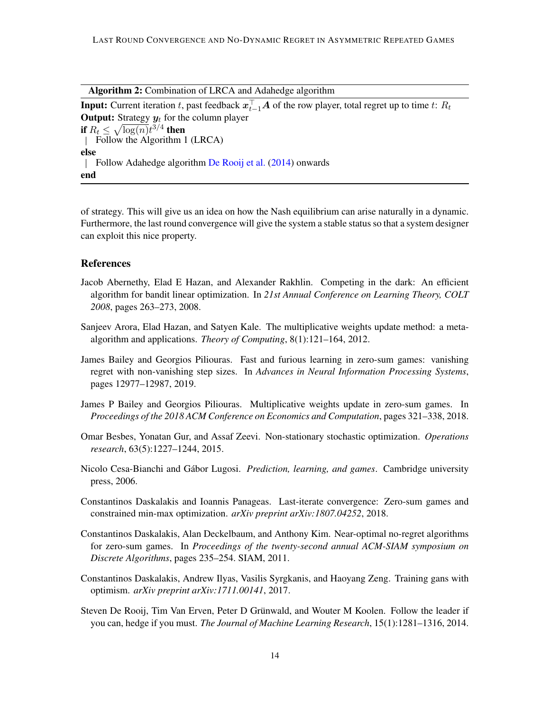Algorithm 2: Combination of LRCA and Adahedge algorithm

**Input:** Current iteration  $t$ , past feedback  $\boldsymbol{x}_{t-1}^\top\boldsymbol{A}$  of the row player, total regret up to time  $t$ :  $R_t$ **Output:** Strategy  $y_t$  for the column player if  $R_t \leq \sqrt{\log(n)}t^{3/4}$  then Follow the Algorithm 1 (LRCA) else Follow Adahedge algorithm [De Rooij et al.](#page-13-9) [\(2014\)](#page-13-9) onwards end

<span id="page-13-10"></span>of strategy. This will give us an idea on how the Nash equilibrium can arise naturally in a dynamic. Furthermore, the last round convergence will give the system a stable status so that a system designer can exploit this nice property.

## References

- <span id="page-13-7"></span>Jacob Abernethy, Elad E Hazan, and Alexander Rakhlin. Competing in the dark: An efficient algorithm for bandit linear optimization. In *21st Annual Conference on Learning Theory, COLT 2008*, pages 263–273, 2008.
- <span id="page-13-1"></span>Sanjeev Arora, Elad Hazan, and Satyen Kale. The multiplicative weights update method: a metaalgorithm and applications. *Theory of Computing*, 8(1):121–164, 2012.
- <span id="page-13-8"></span>James Bailey and Georgios Piliouras. Fast and furious learning in zero-sum games: vanishing regret with non-vanishing step sizes. In *Advances in Neural Information Processing Systems*, pages 12977–12987, 2019.
- <span id="page-13-4"></span>James P Bailey and Georgios Piliouras. Multiplicative weights update in zero-sum games. In *Proceedings of the 2018 ACM Conference on Economics and Computation*, pages 321–338, 2018.
- <span id="page-13-2"></span>Omar Besbes, Yonatan Gur, and Assaf Zeevi. Non-stationary stochastic optimization. *Operations research*, 63(5):1227–1244, 2015.
- <span id="page-13-0"></span>Nicolo Cesa-Bianchi and Gábor Lugosi. *Prediction, learning, and games*. Cambridge university press, 2006.
- <span id="page-13-6"></span>Constantinos Daskalakis and Ioannis Panageas. Last-iterate convergence: Zero-sum games and constrained min-max optimization. *arXiv preprint arXiv:1807.04252*, 2018.
- <span id="page-13-3"></span>Constantinos Daskalakis, Alan Deckelbaum, and Anthony Kim. Near-optimal no-regret algorithms for zero-sum games. In *Proceedings of the twenty-second annual ACM-SIAM symposium on Discrete Algorithms*, pages 235–254. SIAM, 2011.
- <span id="page-13-5"></span>Constantinos Daskalakis, Andrew Ilyas, Vasilis Syrgkanis, and Haoyang Zeng. Training gans with optimism. *arXiv preprint arXiv:1711.00141*, 2017.
- <span id="page-13-9"></span>Steven De Rooij, Tim Van Erven, Peter D Grünwald, and Wouter M Koolen. Follow the leader if you can, hedge if you must. *The Journal of Machine Learning Research*, 15(1):1281–1316, 2014.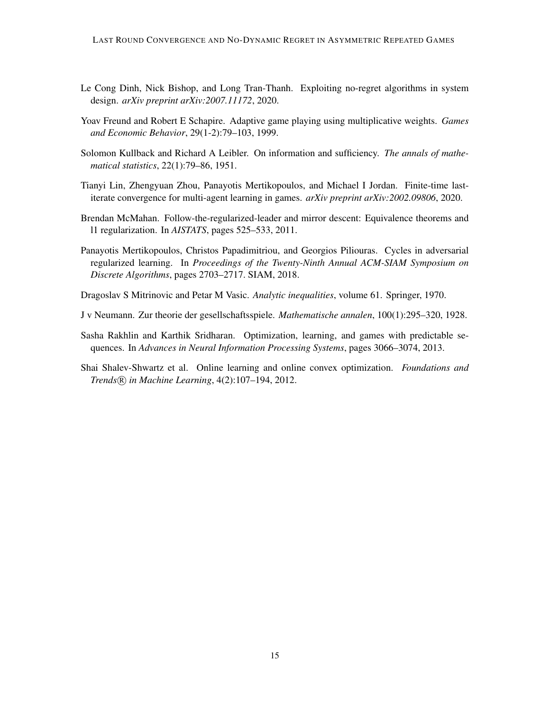- <span id="page-14-9"></span>Le Cong Dinh, Nick Bishop, and Long Tran-Thanh. Exploiting no-regret algorithms in system design. *arXiv preprint arXiv:2007.11172*, 2020.
- <span id="page-14-2"></span>Yoav Freund and Robert E Schapire. Adaptive game playing using multiplicative weights. *Games and Economic Behavior*, 29(1-2):79–103, 1999.
- <span id="page-14-5"></span>Solomon Kullback and Richard A Leibler. On information and sufficiency. *The annals of mathematical statistics*, 22(1):79–86, 1951.
- <span id="page-14-1"></span>Tianyi Lin, Zhengyuan Zhou, Panayotis Mertikopoulos, and Michael I Jordan. Finite-time lastiterate convergence for multi-agent learning in games. *arXiv preprint arXiv:2002.09806*, 2020.
- <span id="page-14-7"></span>Brendan McMahan. Follow-the-regularized-leader and mirror descent: Equivalence theorems and l1 regularization. In *AISTATS*, pages 525–533, 2011.
- <span id="page-14-0"></span>Panayotis Mertikopoulos, Christos Papadimitriou, and Georgios Piliouras. Cycles in adversarial regularized learning. In *Proceedings of the Twenty-Ninth Annual ACM-SIAM Symposium on Discrete Algorithms*, pages 2703–2717. SIAM, 2018.
- <span id="page-14-6"></span>Dragoslav S Mitrinovic and Petar M Vasic. *Analytic inequalities*, volume 61. Springer, 1970.
- <span id="page-14-4"></span>J v Neumann. Zur theorie der gesellschaftsspiele. *Mathematische annalen*, 100(1):295–320, 1928.
- <span id="page-14-3"></span>Sasha Rakhlin and Karthik Sridharan. Optimization, learning, and games with predictable sequences. In *Advances in Neural Information Processing Systems*, pages 3066–3074, 2013.
- <span id="page-14-8"></span>Shai Shalev-Shwartz et al. Online learning and online convex optimization. *Foundations and Trends* R *in Machine Learning*, 4(2):107–194, 2012.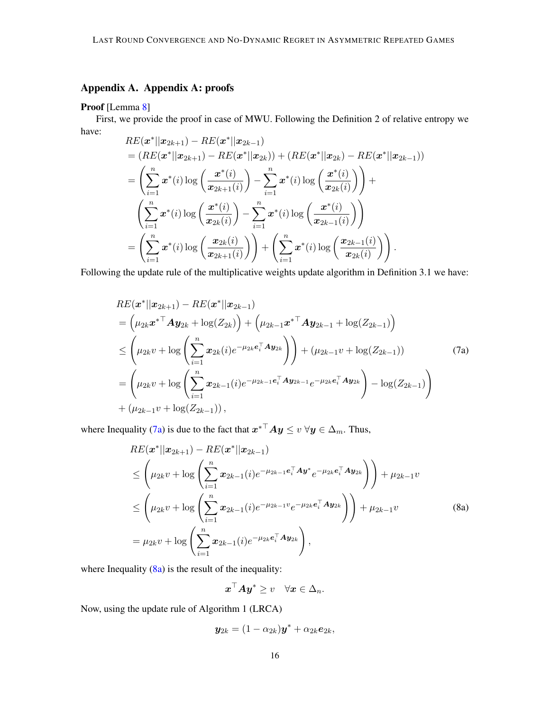# Appendix A. Appendix A: proofs

## Proof [Lemma [8\]](#page-8-0)

First, we provide the proof in case of MWU. Following the Definition 2 of relative entropy we have:

$$
RE(\boldsymbol{x}^*||\boldsymbol{x}_{2k+1}) - RE(\boldsymbol{x}^*||\boldsymbol{x}_{2k-1})
$$
  
\n
$$
= (RE(\boldsymbol{x}^*||\boldsymbol{x}_{2k+1}) - RE(\boldsymbol{x}^*||\boldsymbol{x}_{2k})) + (RE(\boldsymbol{x}^*||\boldsymbol{x}_{2k}) - RE(\boldsymbol{x}^*||\boldsymbol{x}_{2k-1}))
$$
  
\n
$$
= \left(\sum_{i=1}^n \boldsymbol{x}^*(i) \log \left(\frac{\boldsymbol{x}^*(i)}{\boldsymbol{x}_{2k+1}(i)}\right) - \sum_{i=1}^n \boldsymbol{x}^*(i) \log \left(\frac{\boldsymbol{x}^*(i)}{\boldsymbol{x}_{2k}(i)}\right)\right) +
$$
  
\n
$$
\left(\sum_{i=1}^n \boldsymbol{x}^*(i) \log \left(\frac{\boldsymbol{x}^*(i)}{\boldsymbol{x}_{2k}(i)}\right) - \sum_{i=1}^n \boldsymbol{x}^*(i) \log \left(\frac{\boldsymbol{x}^*(i)}{\boldsymbol{x}_{2k-1}(i)}\right)\right)
$$
  
\n
$$
= \left(\sum_{i=1}^n \boldsymbol{x}^*(i) \log \left(\frac{\boldsymbol{x}_{2k}(i)}{\boldsymbol{x}_{2k+1}(i)}\right)\right) + \left(\sum_{i=1}^n \boldsymbol{x}^*(i) \log \left(\frac{\boldsymbol{x}_{2k-1}(i)}{\boldsymbol{x}_{2k}(i)}\right)\right).
$$

Following the update rule of the multiplicative weights update algorithm in Definition 3.1 we have:

$$
RE(\boldsymbol{x}^*||\boldsymbol{x}_{2k+1}) - RE(\boldsymbol{x}^*||\boldsymbol{x}_{2k-1})
$$
  
\n
$$
= (\mu_{2k}\boldsymbol{x}^{*T}\boldsymbol{A}\boldsymbol{y}_{2k} + \log(Z_{2k})) + (\mu_{2k-1}\boldsymbol{x}^{*T}\boldsymbol{A}\boldsymbol{y}_{2k-1} + \log(Z_{2k-1}))
$$
  
\n
$$
\leq (\mu_{2k}v + \log\left(\sum_{i=1}^n \boldsymbol{x}_{2k}(i)e^{-\mu_{2k}\boldsymbol{e}_i^T}\boldsymbol{A}\boldsymbol{y}_{2k})\right) + (\mu_{2k-1}v + \log(Z_{2k-1}))
$$
(7a)  
\n
$$
= (\mu_{2k}v + \log\left(\sum_{i=1}^n \boldsymbol{x}_{2k-1}(i)e^{-\mu_{2k-1}\boldsymbol{e}_i^T}\boldsymbol{A}\boldsymbol{y}_{2k-1} - e^{-\mu_{2k}\boldsymbol{e}_i^T}\boldsymbol{A}\boldsymbol{y}_{2k}) - \log(Z_{2k-1})
$$
  
\n
$$
+ (\mu_{2k-1}v + \log(Z_{2k-1})),
$$

where Inequality [\(7a\)](#page-15-0) is due to the fact that  $x^{*{\top}}Ay \leq v \ \forall y \in \Delta_m$ . Thus,

$$
RE(\mathbf{x}^*||\mathbf{x}_{2k+1}) - RE(\mathbf{x}^*||\mathbf{x}_{2k-1})
$$
  
\n
$$
\leq \left(\mu_{2k}v + \log \left(\sum_{i=1}^n \mathbf{x}_{2k-1}(i)e^{-\mu_{2k-1}\mathbf{e}_i^\top \mathbf{A}\mathbf{y}^*}e^{-\mu_{2k}\mathbf{e}_i^\top \mathbf{A}\mathbf{y}_{2k}}\right)\right) + \mu_{2k-1}v
$$
  
\n
$$
\leq \left(\mu_{2k}v + \log \left(\sum_{i=1}^n \mathbf{x}_{2k-1}(i)e^{-\mu_{2k-1}v}e^{-\mu_{2k}\mathbf{e}_i^\top \mathbf{A}\mathbf{y}_{2k}}\right)\right) + \mu_{2k-1}v
$$
  
\n
$$
= \mu_{2k}v + \log \left(\sum_{i=1}^n \mathbf{x}_{2k-1}(i)e^{-\mu_{2k}\mathbf{e}_i^\top \mathbf{A}\mathbf{y}_{2k}}\right),
$$
\n(8a)

where Inequality  $(8a)$  is the result of the inequality:

<span id="page-15-1"></span><span id="page-15-0"></span>
$$
\boldsymbol{x}^\top \boldsymbol{A} \boldsymbol{y}^* \geq v \quad \forall \boldsymbol{x} \in \Delta_n.
$$

Now, using the update rule of Algorithm 1 (LRCA)

$$
\mathbf{y}_{2k}=(1-\alpha_{2k})\mathbf{y}^*+\alpha_{2k}\mathbf{e}_{2k},
$$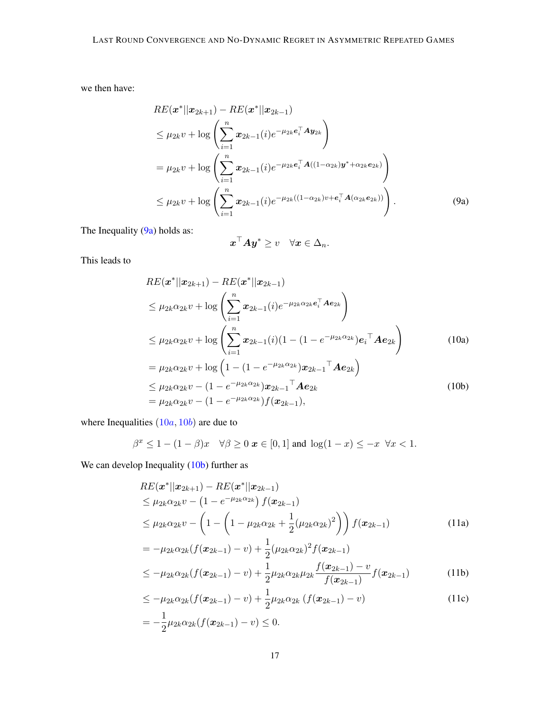we then have:

$$
RE(\mathbf{x}^*||\mathbf{x}_{2k+1}) - RE(\mathbf{x}^*||\mathbf{x}_{2k-1})
$$
  
\n
$$
\leq \mu_{2k}v + \log \left( \sum_{i=1}^n \mathbf{x}_{2k-1}(i)e^{-\mu_{2k}e_i^{\top}A}\mathbf{y}_{2k} \right)
$$
  
\n
$$
= \mu_{2k}v + \log \left( \sum_{i=1}^n \mathbf{x}_{2k-1}(i)e^{-\mu_{2k}e_i^{\top}A((1-\alpha_{2k})\mathbf{y}^* + \alpha_{2k}e_{2k})} \right)
$$
  
\n
$$
\leq \mu_{2k}v + \log \left( \sum_{i=1}^n \mathbf{x}_{2k-1}(i)e^{-\mu_{2k}((1-\alpha_{2k})v + e_i^{\top}A(\alpha_{2k}e_{2k}))} \right).
$$
 (9a)

The Inequality [\(9a\)](#page-16-0) holds as:

<span id="page-16-2"></span><span id="page-16-1"></span><span id="page-16-0"></span>
$$
\boldsymbol{x}^\top \boldsymbol{A} \boldsymbol{y}^* \geq v \quad \forall \boldsymbol{x} \in \Delta_n.
$$

This leads to

$$
RE(\mathbf{x}^*||\mathbf{x}_{2k+1}) - RE(\mathbf{x}^*||\mathbf{x}_{2k-1})
$$
  
\n
$$
\leq \mu_{2k}\alpha_{2k}v + \log\left(\sum_{i=1}^n \mathbf{x}_{2k-1}(i)e^{-\mu_{2k}\alpha_{2k}e_i^{\top}Ae_{2k}}\right)
$$
  
\n
$$
\leq \mu_{2k}\alpha_{2k}v + \log\left(\sum_{i=1}^n \mathbf{x}_{2k-1}(i)(1 - (1 - e^{-\mu_{2k}\alpha_{2k}})e_i^{\top}Ae_{2k}\right)
$$
  
\n
$$
= \mu_{2k}\alpha_{2k}v + \log\left(1 - (1 - e^{-\mu_{2k}\alpha_{2k}})\mathbf{x}_{2k-1}^{\top}Ae_{2k}\right)
$$
  
\n
$$
\leq \mu_{2k}\alpha_{2k}v - (1 - e^{-\mu_{2k}\alpha_{2k}})\mathbf{x}_{2k-1}^{\top}Ae_{2k}
$$
  
\n
$$
= \mu_{2k}\alpha_{2k}v - (1 - e^{-\mu_{2k}\alpha_{2k}})f(\mathbf{x}_{2k-1}),
$$
  
\n(10b)

where Inequalities  $(10a, 10b)$  $(10a, 10b)$  $(10a, 10b)$  $(10a, 10b)$  are due to

$$
\beta^x \le 1 - (1 - \beta)x \quad \forall \beta \ge 0 \text{ } x \in [0, 1] \text{ and } \log(1 - x) \le -x \quad \forall x < 1.
$$

We can develop Inequality [\(10b\)](#page-16-2) further as

$$
RE(\mathbf{x}^*||\mathbf{x}_{2k+1}) - RE(\mathbf{x}^*||\mathbf{x}_{2k-1})
$$
  
\n
$$
\leq \mu_{2k}\alpha_{2k}v - (1 - e^{-\mu_{2k}\alpha_{2k}}) f(\mathbf{x}_{2k-1})
$$
  
\n
$$
\leq \mu_{2k}\alpha_{2k}v - (1 - (1 - \mu_{2k}\alpha_{2k} + \frac{1}{2}(\mu_{2k}\alpha_{2k})^2)) f(\mathbf{x}_{2k-1})
$$
  
\n
$$
= -\mu_{2k}\alpha_{2k}(f(\mathbf{x}_{2k-1}) - v) + \frac{1}{2}(\mu_{2k}\alpha_{2k})^2 f(\mathbf{x}_{2k-1})
$$
  
\n
$$
\leq \mu_{2k}\alpha_{2k}(f(\mathbf{x}_{2k-1}) - v) + \frac{1}{2}(\mu_{2k}\alpha_{2k})^2 f(\mathbf{x}_{2k-1}) - v_{\mathbf{x}_{2k-1}} \tag{11b}
$$

<span id="page-16-3"></span>
$$
\leq -\mu_{2k}\alpha_{2k}(f(\boldsymbol{x}_{2k-1}) - v) + \frac{1}{2}\mu_{2k}\alpha_{2k}\mu_{2k}\frac{f(\boldsymbol{x}_{2k-1}) - v}{f(\boldsymbol{x}_{2k-1})}f(\boldsymbol{x}_{2k-1})
$$
(11b)

$$
\leq -\mu_{2k}\alpha_{2k}(f(\mathbf{x}_{2k-1}) - v) + \frac{1}{2}\mu_{2k}\alpha_{2k}(f(\mathbf{x}_{2k-1}) - v)
$$
\n
$$
= -\frac{1}{2}\mu_{2k}\alpha_{2k}(f(\mathbf{x}_{2k-1}) - v) < 0.
$$
\n(11c)

<span id="page-16-5"></span><span id="page-16-4"></span>
$$
-\frac{1}{2}\mu_{2k}\alpha_{2k}(f(\bm{x}_{2k-1})-v) \leq 0.
$$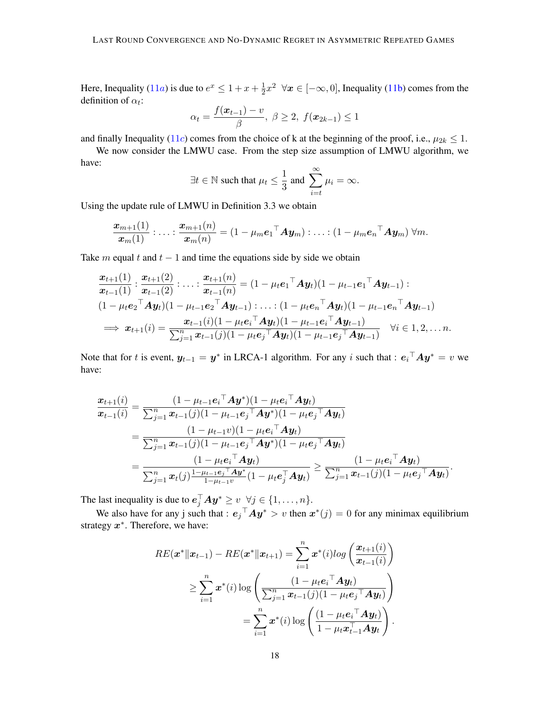Here, Inequality ([11](#page-16-3)*a*) is due to  $e^x \leq 1 + x + \frac{1}{2}$  $\frac{1}{2}x^2 \quad \forall x \in [-\infty, 0]$ , Inequality [\(11b\)](#page-16-4) comes from the definition of  $\alpha_t$ :

$$
\alpha_t = \frac{f(\bm{x}_{t-1}) - v}{\beta}, \ \beta \ge 2, \ f(\bm{x}_{2k-1}) \le 1
$$

and finally Inequality ([11](#page-16-5)c) comes from the choice of k at the beginning of the proof, i.e.,  $\mu_{2k} \leq 1$ .

We now consider the LMWU case. From the step size assumption of LMWU algorithm, we have:

$$
\exists t \in \mathbb{N} \text{ such that } \mu_t \leq \frac{1}{3} \text{ and } \sum_{i=t}^{\infty} \mu_i = \infty.
$$

Using the update rule of LMWU in Definition 3.3 we obtain

$$
\frac{\boldsymbol{x}_{m+1}(1)}{\boldsymbol{x}_m(1)}\cdot\ldots\cdot\frac{\boldsymbol{x}_{m+1}(n)}{\boldsymbol{x}_m(n)}=(1-\mu_m{\boldsymbol{e}_1}^{\top}\boldsymbol{A}\boldsymbol{y}_m)\cdot\ldots\cdot(1-\mu_m{\boldsymbol{e}_n}^{\top}\boldsymbol{A}\boldsymbol{y}_m)\ \forall m.
$$

Take m equal t and  $t - 1$  and time the equations side by side we obtain

$$
\frac{\boldsymbol{x}_{t+1}(1)}{\boldsymbol{x}_{t-1}(1)} : \frac{\boldsymbol{x}_{t+1}(2)}{\boldsymbol{x}_{t-1}(2)} : \dots : \frac{\boldsymbol{x}_{t+1}(n)}{\boldsymbol{x}_{t-1}(n)} = (1 - \mu_t \boldsymbol{e}_1^\top \boldsymbol{A} \boldsymbol{y}_t)(1 - \mu_{t-1} \boldsymbol{e}_1^\top \boldsymbol{A} \boldsymbol{y}_{t-1}) : \n(1 - \mu_t \boldsymbol{e}_2^\top \boldsymbol{A} \boldsymbol{y}_t)(1 - \mu_{t-1} \boldsymbol{e}_2^\top \boldsymbol{A} \boldsymbol{y}_{t-1}) : \dots : (1 - \mu_t \boldsymbol{e}_n^\top \boldsymbol{A} \boldsymbol{y}_t)(1 - \mu_{t-1} \boldsymbol{e}_n^\top \boldsymbol{A} \boldsymbol{y}_{t-1}) \n\implies \boldsymbol{x}_{t+1}(i) = \frac{\boldsymbol{x}_{t-1}(i)(1 - \mu_t \boldsymbol{e}_i^\top \boldsymbol{A} \boldsymbol{y}_t)(1 - \mu_{t-1} \boldsymbol{e}_i^\top \boldsymbol{A} \boldsymbol{y}_{t-1})}{\sum_{j=1}^n \boldsymbol{x}_{t-1}(j)(1 - \mu_t \boldsymbol{e}_j^\top \boldsymbol{A} \boldsymbol{y}_t)(1 - \mu_{t-1} \boldsymbol{e}_j^\top \boldsymbol{A} \boldsymbol{y}_{t-1})} \quad \forall i \in 1, 2, \dots n.
$$

Note that for t is event,  $y_{t-1} = y^*$  in LRCA-1 algorithm. For any i such that :  $e_i^{\top} A y^* = v$  we have:

$$
\frac{x_{t+1}(i)}{x_{t-1}(i)} = \frac{(1 - {\mu_{t-1}}{\bf{e}_i}^\top A {\bf{y}^*})(1 - {\mu_t}{\bf{e}_i}^\top A {\bf{y}}_t)}{\sum_{j=1}^n x_{t-1}(j)(1 - {\mu_{t-1}}{\bf{e}_j}^\top A {\bf{y}^*})(1 - {\mu_t}{\bf{e}_j}^\top A {\bf{y}}_t)} \n= \frac{(1 - {\mu_{t-1}} v)(1 - {\mu_t}{\bf{e}_i}^\top A {\bf{y}}_t)}{\sum_{j=1}^n x_{t-1}(j)(1 - {\mu_{t-1}}{\bf{e}_j}^\top A {\bf{y}^*})(1 - {\mu_t}{\bf{e}_j}^\top A {\bf{y}}_t)} \n= \frac{(1 - {\mu_t}{\bf{e}_i}^\top A {\bf{y}}_t)}{\sum_{j=1}^n x_t(j)\frac{1 - {\mu_{t-1}}{\bf{e}_j}^\top A {\bf{y}^*}}{(1 - {\mu_t}{\bf{e}_j}^\top A {\bf{y}}_t)} \geq \frac{(1 - {\mu_t}{\bf{e}_i}^\top A {\bf{y}}_t)}{\sum_{j=1}^n x_{t-1}(j)(1 - {\mu_t}{\bf{e}_j}^\top A {\bf{y}}_t)}.
$$

The last inequality is due to  $e_j^\top A y^* \geq v \ \ \forall j \in \{1, \dots, n\}.$ 

We also have for any j such that :  $e_j^\top A y^* > v$  then  $x^*(j) = 0$  for any minimax equilibrium strategy  $x^*$ . Therefore, we have:

$$
RE(\boldsymbol{x}^*||\boldsymbol{x}_{t-1}) - RE(\boldsymbol{x}^*||\boldsymbol{x}_{t+1}) = \sum_{i=1}^n \boldsymbol{x}^*(i)log\left(\frac{\boldsymbol{x}_{t+1}(i)}{\boldsymbol{x}_{t-1}(i)}\right)
$$
  
\n
$$
\geq \sum_{i=1}^n \boldsymbol{x}^*(i)log\left(\frac{(1 - \mu_t \boldsymbol{e}_i^\top \boldsymbol{A} \boldsymbol{y}_t)}{\sum_{j=1}^n \boldsymbol{x}_{t-1}(j)(1 - \mu_t \boldsymbol{e}_j^\top \boldsymbol{A} \boldsymbol{y}_t)}\right)
$$
  
\n
$$
= \sum_{i=1}^n \boldsymbol{x}^*(i)log\left(\frac{(1 - \mu_t \boldsymbol{e}_i^\top \boldsymbol{A} \boldsymbol{y}_t)}{1 - \mu_t \boldsymbol{x}_{t-1}^\top \boldsymbol{A} \boldsymbol{y}_t}\right).
$$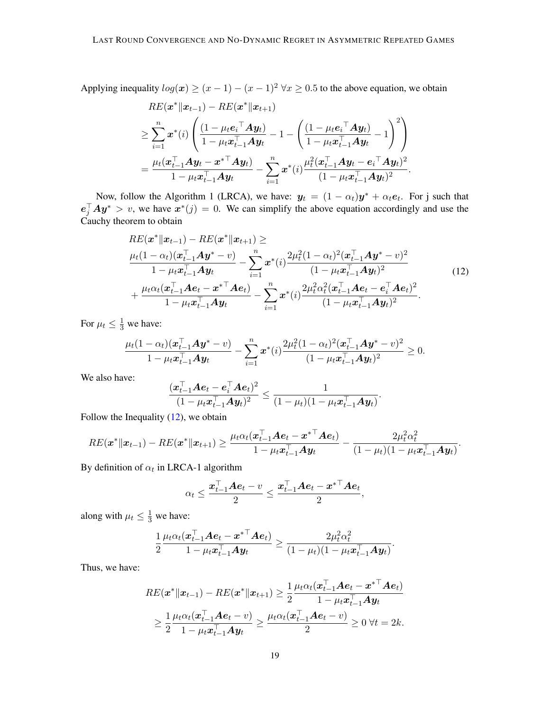Applying inequality  $log(x) \ge (x - 1) - (x - 1)^2 \forall x \ge 0.5$  to the above equation, we obtain

$$
RE(\boldsymbol{x}^*||\boldsymbol{x}_{t-1}) - RE(\boldsymbol{x}^*||\boldsymbol{x}_{t+1})
$$
\n
$$
\geq \sum_{i=1}^n \boldsymbol{x}^*(i) \left( \frac{(1 - \mu_t \boldsymbol{e}_i^\top \boldsymbol{A} \boldsymbol{y}_t)}{1 - \mu_t \boldsymbol{x}_{t-1}^\top \boldsymbol{A} \boldsymbol{y}_t} - 1 - \left( \frac{(1 - \mu_t \boldsymbol{e}_i^\top \boldsymbol{A} \boldsymbol{y}_t)}{1 - \mu_t \boldsymbol{x}_{t-1}^\top \boldsymbol{A} \boldsymbol{y}_t} - 1 \right)^2 \right)
$$
\n
$$
= \frac{\mu_t(\boldsymbol{x}_{t-1}^\top \boldsymbol{A} \boldsymbol{y}_t - \boldsymbol{x}^{*\top} \boldsymbol{A} \boldsymbol{y}_t)}{1 - \mu_t \boldsymbol{x}_{t-1}^\top \boldsymbol{A} \boldsymbol{y}_t} - \sum_{i=1}^n \boldsymbol{x}^*(i) \frac{\mu_t^2(\boldsymbol{x}_{t-1}^\top \boldsymbol{A} \boldsymbol{y}_t - \boldsymbol{e}_i^\top \boldsymbol{A} \boldsymbol{y}_t)^2}{(1 - \mu_t \boldsymbol{x}_{t-1}^\top \boldsymbol{A} \boldsymbol{y}_t)^2}.
$$

Now, follow the Algorithm 1 (LRCA), we have:  $y_t = (1 - \alpha_t)y^* + \alpha_t e_t$ . For j such that  $e_j^\top A y^* > v$ , we have  $x^*(j) = 0$ . We can simplify the above equation accordingly and use the Cauchy theorem to obtain

<span id="page-18-0"></span>
$$
RE(\boldsymbol{x}^*||\boldsymbol{x}_{t-1}) - RE(\boldsymbol{x}^*||\boldsymbol{x}_{t+1}) \ge
$$
  
\n
$$
\frac{\mu_t(1-\alpha_t)(\boldsymbol{x}_{t-1}^{\top}\boldsymbol{A}\boldsymbol{y}^* - v)}{1 - \mu_t\boldsymbol{x}_{t-1}^{\top}\boldsymbol{A}\boldsymbol{y}_t} - \sum_{i=1}^n \boldsymbol{x}^*(i) \frac{2\mu_t^2(1-\alpha_t)^2(\boldsymbol{x}_{t-1}^{\top}\boldsymbol{A}\boldsymbol{y}^* - v)^2}{(1 - \mu_t\boldsymbol{x}_{t-1}^{\top}\boldsymbol{A}\boldsymbol{y}_t)^2} + \frac{\mu_t\alpha_t(\boldsymbol{x}_{t-1}^{\top}\boldsymbol{A}\boldsymbol{e}_t - \boldsymbol{x}^{*}^{\top}\boldsymbol{A}\boldsymbol{e}_t)}{1 - \mu_t\boldsymbol{x}_{t-1}^{\top}\boldsymbol{A}\boldsymbol{y}_t} - \sum_{i=1}^n \boldsymbol{x}^*(i) \frac{2\mu_t^2\alpha_t^2(\boldsymbol{x}_{t-1}^{\top}\boldsymbol{A}\boldsymbol{e}_t - \boldsymbol{e}_i^{\top}\boldsymbol{A}\boldsymbol{e}_t)^2}{(1 - \mu_t\boldsymbol{x}_{t-1}^{\top}\boldsymbol{A}\boldsymbol{y}_t)^2}.
$$
\n(12)

For  $\mu_t \leq \frac{1}{3}$  we have:

$$
\frac{\mu_t(1-\alpha_t)(\boldsymbol{x}_{t-1}^\top \boldsymbol{A} \boldsymbol{y}^* - v)}{1 - \mu_t \boldsymbol{x}_{t-1}^\top \boldsymbol{A} \boldsymbol{y}_t} - \sum_{i=1}^n \boldsymbol{x}^*(i) \frac{2\mu_t^2 (1-\alpha_t)^2 (\boldsymbol{x}_{t-1}^\top \boldsymbol{A} \boldsymbol{y}^* - v)^2}{(1 - \mu_t \boldsymbol{x}_{t-1}^\top \boldsymbol{A} \boldsymbol{y}_t)^2} \geq 0.
$$

We also have:

$$
\frac{(\boldsymbol{x}_{t-1}^{\top}\boldsymbol{A}\boldsymbol{e}_t-\boldsymbol{e}_i^{\top}\boldsymbol{A}\boldsymbol{e}_t)^2}{(1-\mu_t\boldsymbol{x}_{t-1}^{\top}\boldsymbol{A}\boldsymbol{y}_t)^2}\leq \frac{1}{(1-\mu_t)(1-\mu_t\boldsymbol{x}_{t-1}^{\top}\boldsymbol{A}\boldsymbol{y}_t)}.
$$

Follow the Inequality  $(12)$ , we obtain

$$
RE(\boldsymbol{x}^*\|\boldsymbol{x}_{t-1})-RE(\boldsymbol{x}^*\|\boldsymbol{x}_{t+1})\geq \frac{\mu_t\alpha_t(\boldsymbol{x}_{t-1}^\top\boldsymbol{A}\boldsymbol{e}_t-\boldsymbol{x}^{*\top}\boldsymbol{A}\boldsymbol{e}_t)}{1-\mu_t\boldsymbol{x}_{t-1}^\top\boldsymbol{A}\boldsymbol{y}_t}-\frac{2\mu_t^2\alpha_t^2}{(1-\mu_t)(1-\mu_t\boldsymbol{x}_{t-1}^\top\boldsymbol{A}\boldsymbol{y}_t)}.
$$

By definition of  $\alpha_t$  in LRCA-1 algorithm

$$
\alpha_t \leq \frac{\boldsymbol{x}_{t-1}^{\top} \boldsymbol{A} \boldsymbol{e}_t - v}{2} \leq \frac{\boldsymbol{x}_{t-1}^{\top} \boldsymbol{A} \boldsymbol{e}_t - {\boldsymbol{x}^*}^{\top} \boldsymbol{A} \boldsymbol{e}_t}{2},
$$

along with  $\mu_t \leq \frac{1}{3}$  we have:

$$
\frac{1}{2}\frac{\mu_t\alpha_t(\boldsymbol{x}_{t-1}^\top\boldsymbol{A}\boldsymbol{e}_t-\boldsymbol{x}^{* \top}\boldsymbol{A}\boldsymbol{e}_t)}{1-\mu_t\boldsymbol{x}_{t-1}^\top\boldsymbol{A}\boldsymbol{y}_t}\geq \frac{2\mu_t^2\alpha_t^2}{(1-\mu_t)(1-\mu_t\boldsymbol{x}_{t-1}^\top\boldsymbol{A}\boldsymbol{y}_t)}.
$$

Thus, we have:

$$
RE(\boldsymbol{x}^*||\boldsymbol{x}_{t-1}) - RE(\boldsymbol{x}^*||\boldsymbol{x}_{t+1}) \geq \frac{1}{2} \frac{\mu_t \alpha_t (\boldsymbol{x}_{t-1}^\top \boldsymbol{A} \boldsymbol{e}_t - \boldsymbol{x}^{* \top} \boldsymbol{A} \boldsymbol{e}_t)}{1 - \mu_t \boldsymbol{x}_{t-1}^\top \boldsymbol{A} \boldsymbol{y}_t}
$$

$$
\geq \frac{1}{2} \frac{\mu_t \alpha_t (\boldsymbol{x}_{t-1}^\top \boldsymbol{A} \boldsymbol{e}_t - v)}{1 - \mu_t \boldsymbol{x}_{t-1}^\top \boldsymbol{A} \boldsymbol{y}_t} \geq \frac{\mu_t \alpha_t (\boldsymbol{x}_{t-1}^\top \boldsymbol{A} \boldsymbol{e}_t - v)}{2} \geq 0 \ \forall t = 2k.
$$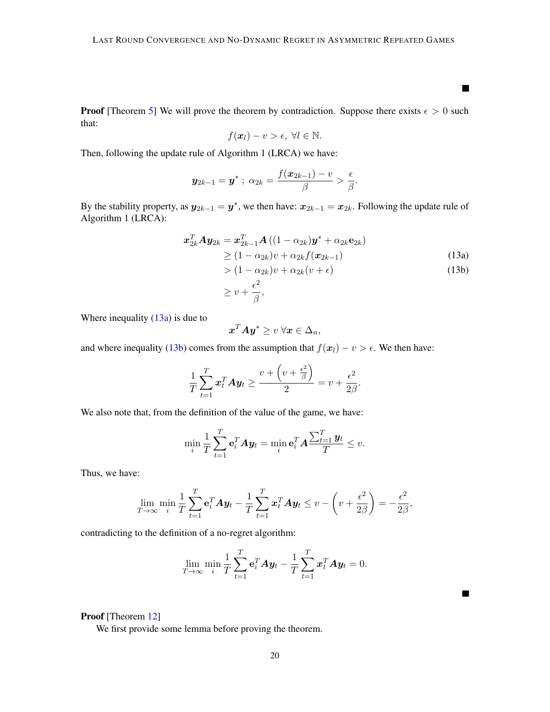**Proof** [Theorem [5\]](#page-7-0) We will prove the theorem by contradiction. Suppose there exists  $\epsilon > 0$  such that:

$$
f(\boldsymbol{x}_l)-v>\epsilon, \ \forall l\in\mathbb{N}.
$$

Then, following the update rule of Algorithm 1 (LRCA) we have:

$$
\boldsymbol{y}_{2k-1}=\boldsymbol{y}^*~;~\alpha_{2k}=\frac{f(\boldsymbol{x}_{2k-1})-v}{\beta}>\frac{\epsilon}{\beta}.
$$

By the stability property, as  $y_{2k-1} = y^*$ , we then have:  $x_{2k-1} = x_{2k}$ . Following the update rule of Algorithm 1 (LRCA):

$$
\begin{aligned}\n\boldsymbol{x}_{2k}^T \boldsymbol{A} \boldsymbol{y}_{2k} &= \boldsymbol{x}_{2k-1}^T \boldsymbol{A} \left( (1 - \alpha_{2k}) \boldsymbol{y}^* + \alpha_{2k} \mathbf{e}_{2k} \right) \\
&\ge (1 - \alpha_{2k}) v + \alpha_{2k} f(\boldsymbol{x}_{2k-1}) \\
&> (1 - \alpha_{2k}) v + \alpha_{2k} (v + \epsilon) \\
&\ge v + \frac{\epsilon^2}{\beta},\n\end{aligned} \tag{13a}
$$

Where inequality  $(13a)$  is due to

$$
\boldsymbol{x}^T \boldsymbol{A} \boldsymbol{y}^* \geq v \; \forall \boldsymbol{x} \in \Delta_n,
$$

and where inequality [\(13b\)](#page-19-1) comes from the assumption that  $f(x_l) - v > \epsilon$ . We then have:

$$
\frac{1}{T}\sum_{t=1}^T \boldsymbol{x}_t^T \boldsymbol{A} \boldsymbol{y}_t \ge \frac{v + \left(v + \frac{\epsilon^2}{\beta}\right)}{2} = v + \frac{\epsilon^2}{2\beta}.
$$

We also note that, from the definition of the value of the game, we have:

$$
\min_{i} \frac{1}{T} \sum_{t=1}^{T} \mathbf{e}_i^T A \mathbf{y}_t = \min_{i} \mathbf{e}_i^T A \frac{\sum_{t=1}^{T} \mathbf{y}_t}{T} \leq v.
$$

Thus, we have:

$$
\lim_{T \to \infty} \min_{i} \frac{1}{T} \sum_{t=1}^{T} \mathbf{e}_{i}^{T} A \mathbf{y}_{t} - \frac{1}{T} \sum_{t=1}^{T} \mathbf{x}_{t}^{T} A \mathbf{y}_{t} \leq v - \left(v + \frac{\epsilon^{2}}{2\beta}\right) = -\frac{\epsilon^{2}}{2\beta},
$$

contradicting to the definition of a no-regret algorithm:

$$
\lim_{T \to \infty} \min_{i} \frac{1}{T} \sum_{t=1}^{T} \mathbf{e}_i^T A \mathbf{y}_t - \frac{1}{T} \sum_{t=1}^{T} \mathbf{x}_t^T A \mathbf{y}_t = 0.
$$

## Proof [Theorem [12\]](#page-11-2)

We first provide some lemma before proving the theorem.

<span id="page-19-1"></span><span id="page-19-0"></span> $\blacksquare$ 

<span id="page-19-2"></span> $\blacksquare$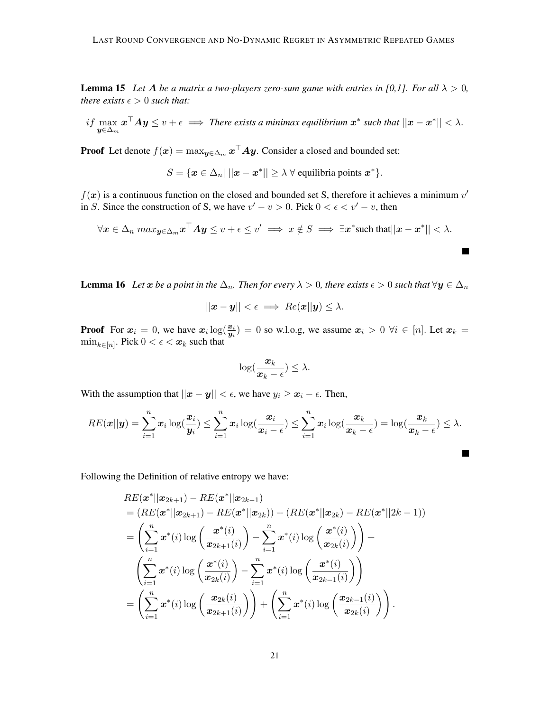**Lemma 15** Let A be a matrix a two-players zero-sum game with entries in [0,1]. For all  $\lambda > 0$ , *there exists*  $\epsilon > 0$  *such that:* 

if 
$$
\max_{\mathbf{y} \in \Delta_m} \mathbf{x}^\top A \mathbf{y} \le v + \epsilon \implies
$$
 There exists a minimax equilibrium  $\mathbf{x}^*$  such that  $||\mathbf{x} - \mathbf{x}^*|| < \lambda$ .

**Proof** Let denote  $f(x) = \max_{\mathbf{y} \in \Delta_m} \mathbf{x}^\top A \mathbf{y}$ . Consider a closed and bounded set:

 $S = \{ \mathbf{x} \in \Delta_n | ||\mathbf{x} - \mathbf{x}^*|| \geq \lambda \ \forall \text{ equilibria points } \mathbf{x}^* \}.$ 

 $f(x)$  is a continuous function on the closed and bounded set S, therefore it achieves a minimum  $v'$ in S. Since the construction of S, we have  $v' - v > 0$ . Pick  $0 < \epsilon < v' - v$ , then

$$
\forall \mathbf{x} \in \Delta_n \ max_{\mathbf{y} \in \Delta_m} \mathbf{x}^\top A \mathbf{y} \le v + \epsilon \le v' \implies x \notin S \implies \exists \mathbf{x}^* \text{such that} ||\mathbf{x} - \mathbf{x}^*|| < \lambda.
$$

 $\blacksquare$ 

 $\blacksquare$ 

<span id="page-20-0"></span>**Lemma 16** Let x be a point in the  $\Delta_n$ . Then for every  $\lambda > 0$ , there exists  $\epsilon > 0$  such that  $\forall y \in \Delta_n$ 

$$
||\mathbf{x} - \mathbf{y}|| < \epsilon \implies Re(\mathbf{x}||\mathbf{y}) \leq \lambda.
$$

**Proof** For  $x_i = 0$ , we have  $x_i \log(\frac{x_i}{y_i}) = 0$  so w.l.o.g, we assume  $x_i > 0$   $\forall i \in [n]$ . Let  $x_k =$  $\min_{k \in [n]}$ . Pick  $0 < \epsilon < x_k$  such that

$$
\log(\frac{x_k}{x_k-\epsilon}) \leq \lambda.
$$

With the assumption that  $||x - y|| < \epsilon$ , we have  $y_i \ge x_i - \epsilon$ . Then,

$$
RE(\boldsymbol{x}||\boldsymbol{y}) = \sum_{i=1}^n \boldsymbol{x}_i \log(\frac{\boldsymbol{x}_i}{\boldsymbol{y}_i}) \le \sum_{i=1}^n \boldsymbol{x}_i \log(\frac{\boldsymbol{x}_i}{\boldsymbol{x}_i - \epsilon}) \le \sum_{i=1}^n \boldsymbol{x}_i \log(\frac{\boldsymbol{x}_k}{\boldsymbol{x}_k - \epsilon}) = \log(\frac{\boldsymbol{x}_k}{\boldsymbol{x}_k - \epsilon}) \le \lambda.
$$

Following the Definition of relative entropy we have:

$$
RE(\boldsymbol{x}^*||\boldsymbol{x}_{2k+1}) - RE(\boldsymbol{x}^*||\boldsymbol{x}_{2k-1})
$$
  
\n
$$
= (RE(\boldsymbol{x}^*||\boldsymbol{x}_{2k+1}) - RE(\boldsymbol{x}^*||\boldsymbol{x}_{2k})) + (RE(\boldsymbol{x}^*||\boldsymbol{x}_{2k}) - RE(\boldsymbol{x}^*||2k-1))
$$
  
\n
$$
= \left(\sum_{i=1}^n \boldsymbol{x}^*(i) \log \left(\frac{\boldsymbol{x}^*(i)}{\boldsymbol{x}_{2k+1}(i)}\right) - \sum_{i=1}^n \boldsymbol{x}^*(i) \log \left(\frac{\boldsymbol{x}^*(i)}{\boldsymbol{x}_{2k}(i)}\right)\right) +
$$
  
\n
$$
\left(\sum_{i=1}^n \boldsymbol{x}^*(i) \log \left(\frac{\boldsymbol{x}^*(i)}{\boldsymbol{x}_{2k}(i)}\right) - \sum_{i=1}^n \boldsymbol{x}^*(i) \log \left(\frac{\boldsymbol{x}^*(i)}{\boldsymbol{x}_{2k-1}(i)}\right)\right)
$$
  
\n
$$
= \left(\sum_{i=1}^n \boldsymbol{x}^*(i) \log \left(\frac{\boldsymbol{x}_{2k}(i)}{\boldsymbol{x}_{2k+1}(i)}\right)\right) + \left(\sum_{i=1}^n \boldsymbol{x}^*(i) \log \left(\frac{\boldsymbol{x}_{2k-1}(i)}{\boldsymbol{x}_{2k}(i)}\right)\right).
$$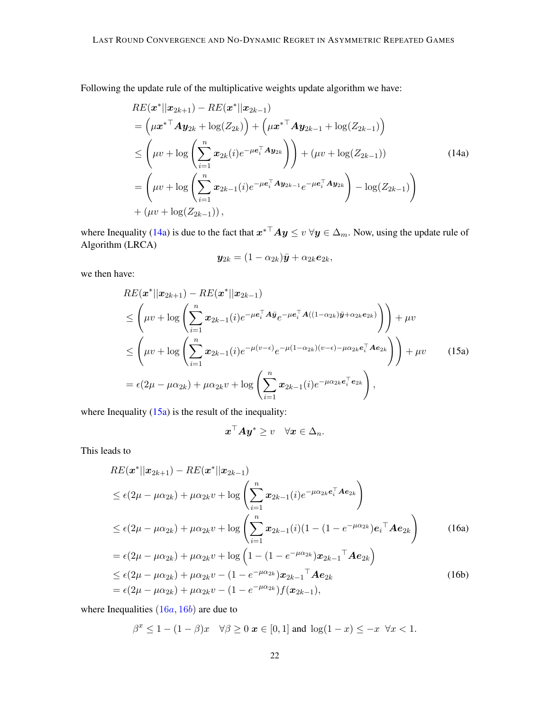Following the update rule of the multiplicative weights update algorithm we have:

$$
RE(\boldsymbol{x}^*||\boldsymbol{x}_{2k+1}) - RE(\boldsymbol{x}^*||\boldsymbol{x}_{2k-1})
$$
  
=  $(\mu \boldsymbol{x}^{*T} \boldsymbol{A} \boldsymbol{y}_{2k} + \log(Z_{2k})) + (\mu \boldsymbol{x}^{*T} \boldsymbol{A} \boldsymbol{y}_{2k-1} + \log(Z_{2k-1}))$   
 $\leq (\mu v + \log \left(\sum_{i=1}^n \boldsymbol{x}_{2k}(i) e^{-\mu \boldsymbol{e}_i^T \boldsymbol{A} \boldsymbol{y}_{2k}}\right)) + (\mu v + \log(Z_{2k-1}))$  (14a)  
=  $(\mu v + \log \left(\sum_{i=1}^n \boldsymbol{x}_{2k-1}(i) e^{-\mu \boldsymbol{e}_i^T \boldsymbol{A} \boldsymbol{y}_{2k-1}} e^{-\mu \boldsymbol{e}_i^T \boldsymbol{A} \boldsymbol{y}_{2k}}\right) - \log(Z_{2k-1}))$   
+  $(\mu v + \log(Z_{2k-1}))$ ,

where Inequality [\(14a\)](#page-21-0) is due to the fact that  $x^{*T}Ay \leq v \,\forall y \in \Delta_m$ . Now, using the update rule of Algorithm (LRCA)

<span id="page-21-0"></span>
$$
\boldsymbol{y}_{2k} = (1-\alpha_{2k})\bar{\boldsymbol{y}} + \alpha_{2k}\boldsymbol{e}_{2k},
$$

we then have:

$$
RE(\boldsymbol{x}^*||\boldsymbol{x}_{2k+1}) - RE(\boldsymbol{x}^*||\boldsymbol{x}_{2k-1})
$$
  
\n
$$
\leq \left(\mu v + \log \left(\sum_{i=1}^n \boldsymbol{x}_{2k-1}(i)e^{-\mu \boldsymbol{e}_i^\top \boldsymbol{A} \bar{\boldsymbol{y}}_e - \mu \boldsymbol{e}_i^\top \boldsymbol{A}((1-\alpha_{2k})\bar{\boldsymbol{y}} + \alpha_{2k} \boldsymbol{e}_{2k})}\right)\right) + \mu v
$$
  
\n
$$
\leq \left(\mu v + \log \left(\sum_{i=1}^n \boldsymbol{x}_{2k-1}(i)e^{-\mu(v-\epsilon)}e^{-\mu(1-\alpha_{2k})(v-\epsilon) - \mu \alpha_{2k} \boldsymbol{e}_i^\top \boldsymbol{A} \boldsymbol{e}_{2k}}\right)\right) + \mu v
$$
(15a)  
\n
$$
= \epsilon(2\mu - \mu \alpha_{2k}) + \mu \alpha_{2k} v + \log \left(\sum_{i=1}^n \boldsymbol{x}_{2k-1}(i)e^{-\mu \alpha_{2k} \boldsymbol{e}_i^\top \boldsymbol{e}_{2k}}\right),
$$

where Inequality  $(15a)$  is the result of the inequality:

<span id="page-21-3"></span><span id="page-21-2"></span><span id="page-21-1"></span>
$$
\boldsymbol{x}^\top A \boldsymbol{y}^* \geq v \quad \forall \boldsymbol{x} \in \Delta_n.
$$

This leads to

$$
RE(\mathbf{x}^*||\mathbf{x}_{2k+1}) - RE(\mathbf{x}^*||\mathbf{x}_{2k-1})
$$
  
\n
$$
\leq \epsilon(2\mu - \mu\alpha_{2k}) + \mu\alpha_{2k}v + \log\left(\sum_{i=1}^n \mathbf{x}_{2k-1}(i)e^{-\mu\alpha_{2k}e_i^{\top}Ae_{2k}}\right)
$$
  
\n
$$
\leq \epsilon(2\mu - \mu\alpha_{2k}) + \mu\alpha_{2k}v + \log\left(\sum_{i=1}^n \mathbf{x}_{2k-1}(i)(1 - (1 - e^{-\mu\alpha_{2k}})e_i^{\top}Ae_{2k}\right)
$$
  
\n
$$
= \epsilon(2\mu - \mu\alpha_{2k}) + \mu\alpha_{2k}v + \log\left(1 - (1 - e^{-\mu\alpha_{2k}})\mathbf{x}_{2k-1}^{\top}Ae_{2k}\right)
$$
  
\n
$$
\leq \epsilon(2\mu - \mu\alpha_{2k}) + \mu\alpha_{2k}v - (1 - e^{-\mu\alpha_{2k}})\mathbf{x}_{2k-1}^{\top}Ae_{2k}
$$
  
\n
$$
= \epsilon(2\mu - \mu\alpha_{2k}) + \mu\alpha_{2k}v - (1 - e^{-\mu\alpha_{2k}})f(\mathbf{x}_{2k-1}),
$$
\n(16b)

where Inequalities  $(16a, 16b)$  $(16a, 16b)$  $(16a, 16b)$  $(16a, 16b)$  are due to

$$
\beta^x \le 1 - (1 - \beta)x \quad \forall \beta \ge 0 \text{ } x \in [0, 1] \text{ and } \log(1 - x) \le -x \quad \forall x < 1.
$$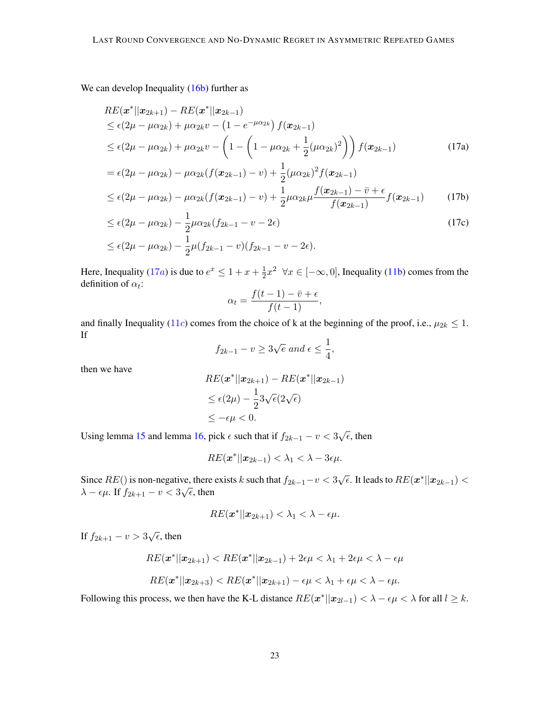We can develop Inequality [\(16b\)](#page-21-3) further as

$$
RE(\mathbf{x}^*||\mathbf{x}_{2k+1}) - RE(\mathbf{x}^*||\mathbf{x}_{2k-1})
$$
  
\n
$$
\leq \epsilon(2\mu - \mu\alpha_{2k}) + \mu\alpha_{2k}v - (1 - e^{-\mu\alpha_{2k}}) f(\mathbf{x}_{2k-1})
$$
  
\n
$$
\leq \epsilon(2\mu - \mu\alpha_{2k}) + \mu\alpha_{2k}v - (1 - (1 - \mu\alpha_{2k} + \frac{1}{2}(\mu\alpha_{2k})^2)) f(\mathbf{x}_{2k-1})
$$
\n(17a)

$$
= \epsilon (2\mu - \mu \alpha_{2k}) - \mu \alpha_{2k} (f(\mathbf{x}_{2k-1}) - v) + \frac{1}{2} (\mu \alpha_{2k})^2 f(\mathbf{x}_{2k-1})
$$
  
 
$$
\leq \epsilon (2\mu - \mu \alpha_{2k}) - \mu \alpha_{2k} (f(\mathbf{x}_{2k-1}) - v) + \frac{1}{2} \mu \alpha_{2k} \mu \frac{f(\mathbf{x}_{2k-1}) - \bar{v} + \epsilon}{f(\mathbf{x}_{2k-1})} f(\mathbf{x}_{2k-1})
$$
(17b)

$$
\leq \epsilon (2\mu - \mu \alpha_{2k}) - \frac{1}{2} \mu \alpha_{2k} (f_{2k-1} - v - 2\epsilon)
$$
\n
$$
\leq \epsilon (2\mu - \mu \alpha_{2k}) - \frac{1}{2} \mu (f_{2k-1} - v)(f_{2k-1} - v - 2\epsilon).
$$
\n(17c)

Here, Inequality ([17](#page-22-0)*a*) is due to  $e^x \leq 1 + x + \frac{1}{2}$  $\frac{1}{2}x^2$   $\forall x \in [-\infty, 0]$ , Inequality [\(11b\)](#page-16-4) comes from the definition of  $\alpha_t$ :

<span id="page-22-0"></span>
$$
\alpha_t = \frac{f(t-1) - \bar{v} + \epsilon}{f(t-1)},
$$

and finally Inequality ([11](#page-16-5)c) comes from the choice of k at the beginning of the proof, i.e.,  $\mu_{2k} \leq 1$ . If

$$
f_{2k-1} - v \ge 3\sqrt{e} \text{ and } \epsilon \le \frac{1}{4},
$$

then we have

$$
RE(\boldsymbol{x}^*||\boldsymbol{x}_{2k+1}) - RE(\boldsymbol{x}^*||\boldsymbol{x}_{2k-1})
$$
  
\n
$$
\leq \epsilon(2\mu) - \frac{1}{2}3\sqrt{\epsilon}(2\sqrt{\epsilon})
$$
  
\n
$$
\leq -\epsilon\mu < 0.
$$

Using lemma [15](#page-19-2) and lemma [16,](#page-20-0) pick  $\epsilon$  such that if  $f_{2k-1} - v < 3\sqrt{\epsilon}$ , then

$$
RE(\boldsymbol{x}^*||\boldsymbol{x}_{2k-1}) < \lambda_1 < \lambda - 3\epsilon\mu.
$$

Since  $RE()$  is non-negative, there exists k such that  $f_{2k-1} - v < 3\sqrt{\epsilon}$ . It leads to  $RE(\mathbf{x}^*||\mathbf{x}_{2k-1}) <$ Since  $\hbar E(t)$  is non-negative, then<br> $\lambda - \epsilon \mu$ . If  $f_{2k+1} - v < 3\sqrt{\epsilon}$ , then

$$
RE(\boldsymbol{x}^*||\boldsymbol{x}_{2k+1}) < \lambda_1 < \lambda - \epsilon \mu.
$$

If  $f_{2k+1} - v > 3\sqrt{\epsilon}$ , then

$$
RE(\boldsymbol{x}^*||\boldsymbol{x}_{2k+1}) < RE(\boldsymbol{x}^*||\boldsymbol{x}_{2k-1}) + 2\epsilon\mu < \lambda_1 + 2\epsilon\mu < \lambda - \epsilon\mu
$$
\n
$$
RE(\boldsymbol{x}^*||\boldsymbol{x}_{2k+3}) < RE(\boldsymbol{x}^*||\boldsymbol{x}_{2k+1}) - \epsilon\mu < \lambda_1 + \epsilon\mu < \lambda - \epsilon\mu.
$$

Following this process, we then have the K-L distance  $RE(\mathbf{x}^*||\mathbf{x}_{2l-1}) < \lambda - \epsilon \mu < \lambda$  for all  $l \geq k$ .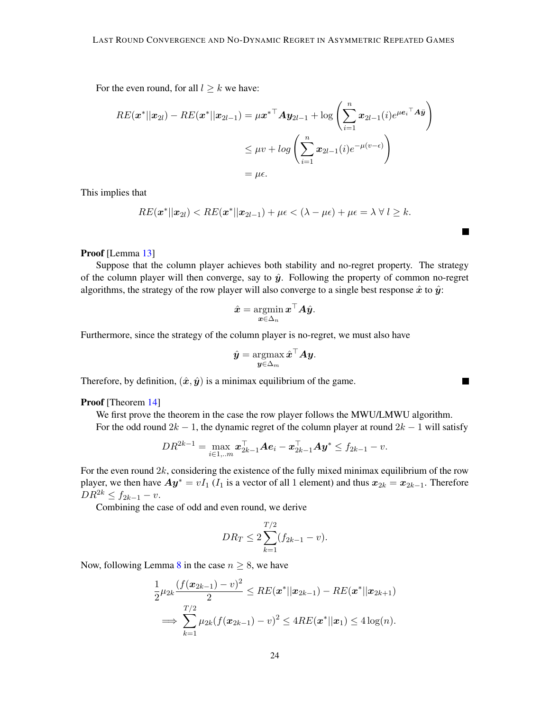For the even round, for all  $l \geq k$  we have:

$$
RE(\boldsymbol{x}^*||\boldsymbol{x}_{2l}) - RE(\boldsymbol{x}^*||\boldsymbol{x}_{2l-1}) = \mu \boldsymbol{x}^{*T} \boldsymbol{A} \boldsymbol{y}_{2l-1} + \log \left(\sum_{i=1}^n \boldsymbol{x}_{2l-1}(i) e^{\mu \boldsymbol{e}_i \cdot \boldsymbol{x}_{2l}}\right)
$$
  

$$
\leq \mu v + \log \left(\sum_{i=1}^n \boldsymbol{x}_{2l-1}(i) e^{-\mu(v-\epsilon)}\right)
$$
  

$$
= \mu \epsilon.
$$

This implies that

$$
RE(\boldsymbol{x}^*||\boldsymbol{x}_{2l}) < RE(\boldsymbol{x}^*||\boldsymbol{x}_{2l-1}) + \mu \epsilon < (\lambda - \mu \epsilon) + \mu \epsilon = \lambda \ \forall \ l \geq k.
$$

**Talent** 

 $\blacksquare$ 

#### Proof [Lemma [13\]](#page-12-1)

Suppose that the column player achieves both stability and no-regret property. The strategy of the column player will then converge, say to  $\hat{y}$ . Following the property of common no-regret algorithms, the strategy of the row player will also converge to a single best response  $\hat{x}$  to  $\hat{y}$ :

$$
\hat{\boldsymbol{x}} = \operatornamewithlimits{argmin}_{\boldsymbol{x} \in \Delta_n} \boldsymbol{x}^\top \boldsymbol{A} \hat{\boldsymbol{y}}.
$$

Furthermore, since the strategy of the column player is no-regret, we must also have

$$
\hat{\boldsymbol{y}} = \operatorname*{argmax}_{\boldsymbol{y} \in \Delta_m} \hat{\boldsymbol{x}}^\top \boldsymbol{A} \boldsymbol{y}.
$$

Therefore, by definition,  $(\hat{x}, \hat{y})$  is a minimax equilibrium of the game.

Proof [Theorem [14\]](#page-12-2)

We first prove the theorem in the case the row player follows the MWU/LMWU algorithm. For the odd round  $2k - 1$ , the dynamic regret of the column player at round  $2k - 1$  will satisfy

$$
DR^{2k-1} = \max_{i \in 1,..m} \boldsymbol{x}_{2k-1}^\top \boldsymbol{A} \boldsymbol{e}_i - \boldsymbol{x}_{2k-1}^\top \boldsymbol{A} \boldsymbol{y}^* \leq f_{2k-1} - v.
$$

For the even round  $2k$ , considering the existence of the fully mixed minimax equilibrium of the row player, we then have  $Ay^* = vI_1$  ( $I_1$  is a vector of all 1 element) and thus  $x_{2k} = x_{2k-1}$ . Therefore  $DR^{2k} \le f_{2k-1} - v.$ 

Combining the case of odd and even round, we derive

$$
DR_T \le 2\sum_{k=1}^{T/2} (f_{2k-1} - v).
$$

Now, following Lemma [8](#page-8-0) in the case  $n \geq 8$ , we have

$$
\frac{1}{2}\mu_{2k}\frac{(f(\boldsymbol{x}_{2k-1})-v)^2}{2} \leq RE(\boldsymbol{x}^*||\boldsymbol{x}_{2k-1}) - RE(\boldsymbol{x}^*||\boldsymbol{x}_{2k+1})
$$

$$
\implies \sum_{k=1}^{T/2} \mu_{2k}(f(\boldsymbol{x}_{2k-1})-v)^2 \leq 4RE(\boldsymbol{x}^*||\boldsymbol{x}_1) \leq 4\log(n).
$$